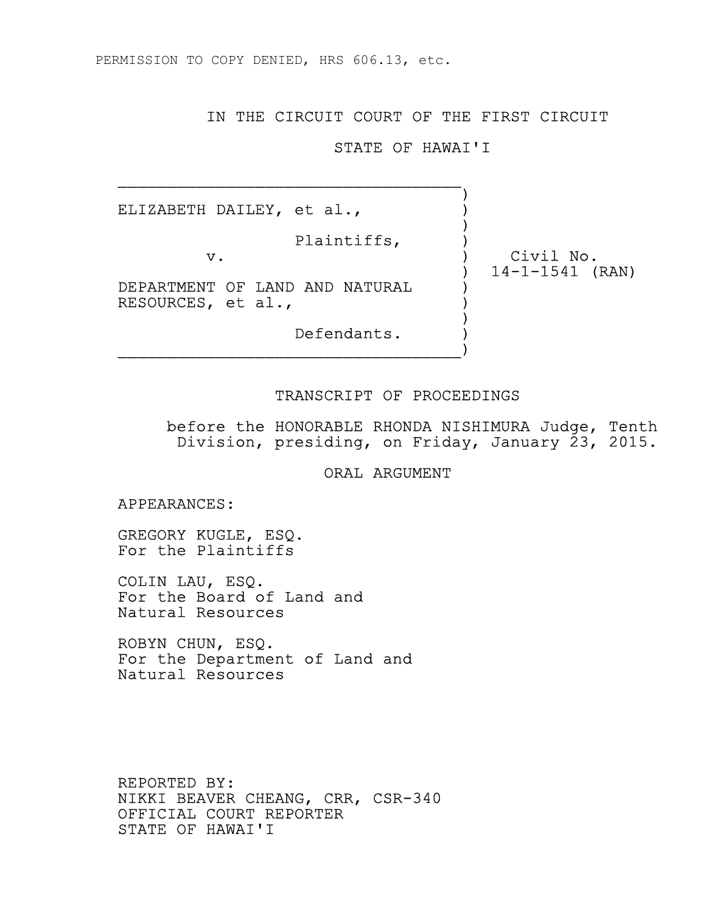PERMISSION TO COPY DENIED, HRS 606.13, etc.

 $\mathcal{L}_\text{max}$  and the contract of the contract of the contract of the contract of the contract of the contract of the contract of the contract of the contract of the contract of the contract of the contract of the contrac

## IN THE CIRCUIT COURT OF THE FIRST CIRCUIT

## STATE OF HAWAI'I

 ) ELIZABETH DAILEY, et al., )

Plaintiffs, )

 v. ) Civil No. ) 14-1-1541 (RAN)

DEPARTMENT OF LAND AND NATURAL RESOURCES, et al., ) experience of the contract of the contract of the contract of the contract of the contract of the contract of the contract of the contract of the contract of the contract of the contract of the contract of the contract of

 Defendants. )  $\overline{\phantom{a}}$ 

## TRANSCRIPT OF PROCEEDINGS

 before the HONORABLE RHONDA NISHIMURA Judge, Tenth Division, presiding, on Friday, January 23, 2015.

ORAL ARGUMENT

APPEARANCES:

 GREGORY KUGLE, ESQ. For the Plaintiffs

 COLIN LAU, ESQ. For the Board of Land and Natural Resources

 ROBYN CHUN, ESQ. For the Department of Land and Natural Resources

 REPORTED BY: NIKKI BEAVER CHEANG, CRR, CSR-340 OFFICIAL COURT REPORTER STATE OF HAWAI'I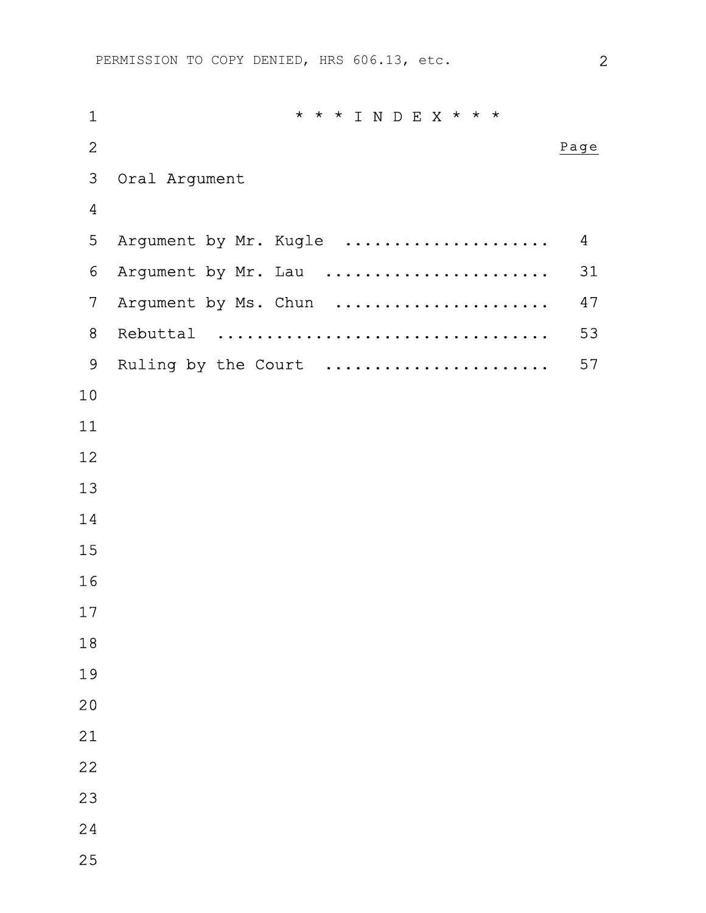| $\mathbf 1$     | * * * I N D E X * * *               |                |
|-----------------|-------------------------------------|----------------|
| $\overline{2}$  |                                     | Page           |
| 3               | Oral Argument                       |                |
| $\overline{4}$  |                                     |                |
| 5               | Argument by Mr. Kugle<br>. <b>.</b> | $\overline{4}$ |
| $6\phantom{.}6$ | Argument by Mr. Lau                 | 31             |
| $\overline{7}$  | Argument by Ms. Chun<br>.           | 47             |
| 8               | Rebuttal                            | 53             |
| 9               | Ruling by the Court                 | 57             |
| $10$            |                                     |                |
| 11              |                                     |                |
| 12              |                                     |                |
| 13              |                                     |                |
| 14              |                                     |                |
| 15              |                                     |                |
| 16              |                                     |                |
| 17              |                                     |                |
| $18\,$          |                                     |                |
| 19              |                                     |                |
| 20              |                                     |                |
| 21              |                                     |                |
| 22              |                                     |                |
| 23              |                                     |                |
| 24              |                                     |                |
| 25              |                                     |                |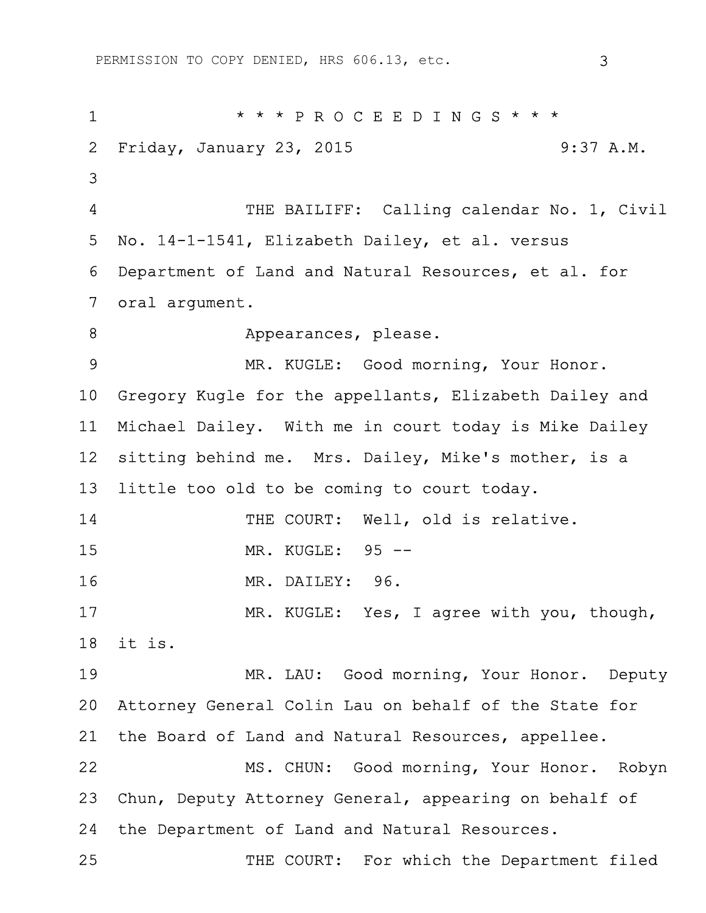PERMISSION TO COPY DENIED, HRS 606.13, etc. 3

1 \* \* \* P R O C E E D I N G S \* \* \* 2 Friday, January 23, 2015 9:37 A.M. 3 4 THE BAILIFF: Calling calendar No. 1, Civil 5 No. 14-1-1541, Elizabeth Dailey, et al. versus 6 Department of Land and Natural Resources, et al. for 7 oral argument. 8 Appearances, please. 9 MR. KUGLE: Good morning, Your Honor. 10 Gregory Kugle for the appellants, Elizabeth Dailey and 11 Michael Dailey. With me in court today is Mike Dailey 12 sitting behind me. Mrs. Dailey, Mike's mother, is a 13 little too old to be coming to court today. 14 THE COURT: Well, old is relative. 15 MR. KUGLE: 95 -- 16 MR. DAILEY: 96. 17 MR. KUGLE: Yes, I agree with you, though, 18 it is. 19 MR. LAU: Good morning, Your Honor. Deputy 20 Attorney General Colin Lau on behalf of the State for 21 the Board of Land and Natural Resources, appellee. 22 MS. CHUN: Good morning, Your Honor. Robyn 23 Chun, Deputy Attorney General, appearing on behalf of 24 the Department of Land and Natural Resources. 25 THE COURT: For which the Department filed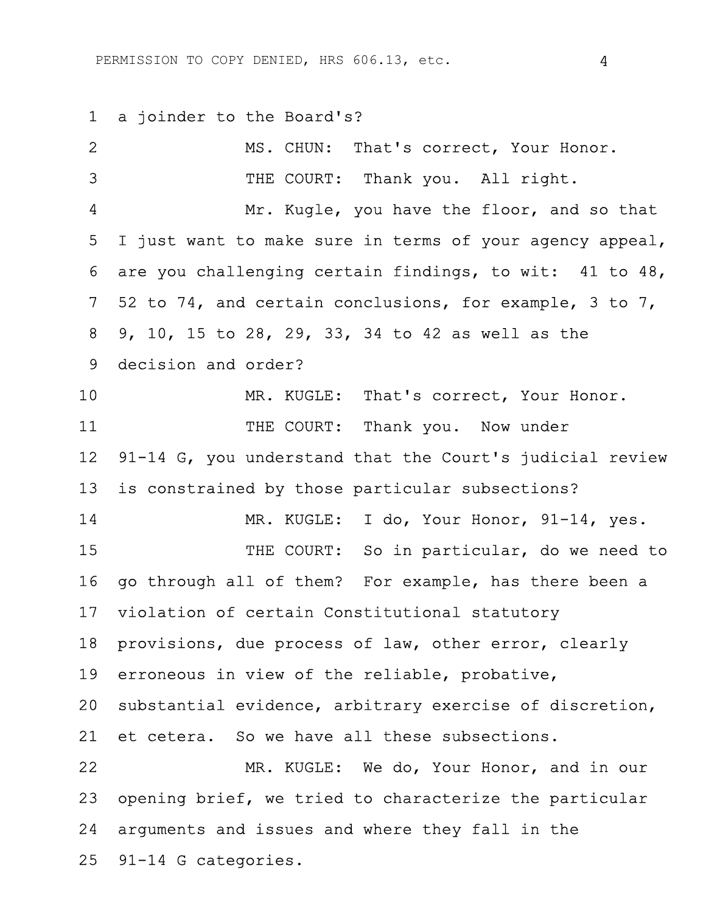1 a joinder to the Board's?

| 2               | MS. CHUN: That's correct, Your Honor.                    |
|-----------------|----------------------------------------------------------|
| 3               | THE COURT: Thank you. All right.                         |
| 4               | Mr. Kugle, you have the floor, and so that               |
| 5               | I just want to make sure in terms of your agency appeal, |
| 6               | are you challenging certain findings, to wit: 41 to 48,  |
| 7 <sup>1</sup>  | 52 to 74, and certain conclusions, for example, 3 to 7,  |
| 8               | 9, 10, 15 to 28, 29, 33, 34 to 42 as well as the         |
| 9               | decision and order?                                      |
| 10              | MR. KUGLE: That's correct, Your Honor.                   |
| 11              | THE COURT: Thank you. Now under                          |
| 12 <sup>°</sup> | 91-14 G, you understand that the Court's judicial review |
| 13              | is constrained by those particular subsections?          |
| 14              | MR. KUGLE: I do, Your Honor, 91-14, yes.                 |
| 15              | THE COURT: So in particular, do we need to               |
| 16              | go through all of them? For example, has there been a    |
| 17 <sub>2</sub> | violation of certain Constitutional statutory            |
| 18              | provisions, due process of law, other error, clearly     |
| 19              | erroneous in view of the reliable, probative,            |
| 20 <sub>1</sub> | substantial evidence, arbitrary exercise of discretion,  |
| 21              | et cetera. So we have all these subsections.             |
| 22              | MR. KUGLE: We do, Your Honor, and in our                 |
| 23              | opening brief, we tried to characterize the particular   |
| 24              | arguments and issues and where they fall in the          |
| 25              | 91-14 G categories.                                      |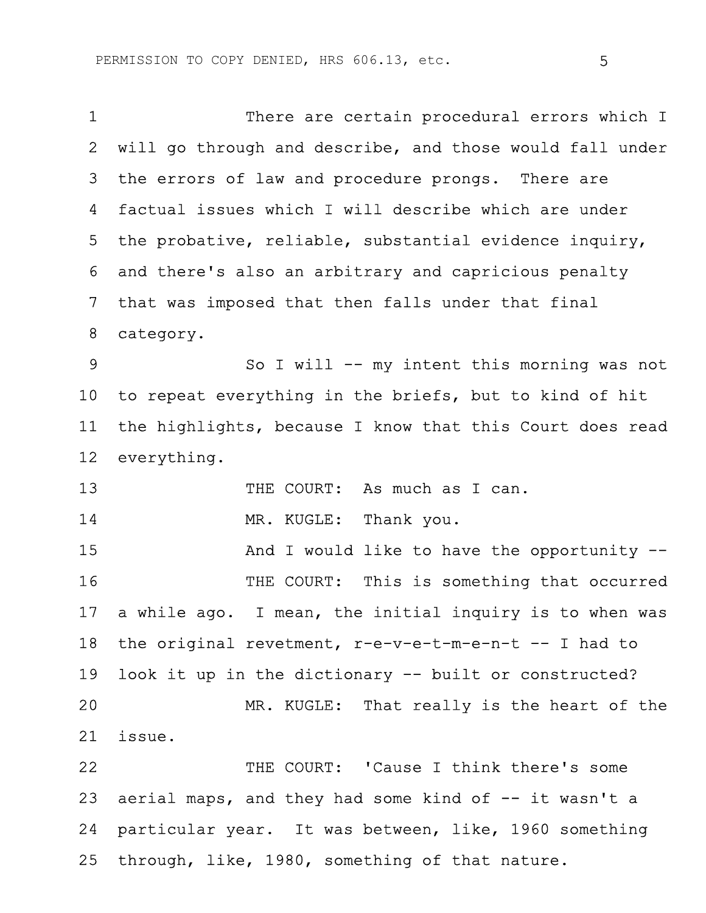1 There are certain procedural errors which I 2 will go through and describe, and those would fall under 3 the errors of law and procedure prongs. There are 4 factual issues which I will describe which are under 5 the probative, reliable, substantial evidence inquiry, 6 and there's also an arbitrary and capricious penalty 7 that was imposed that then falls under that final 8 category. 9 So I will -- my intent this morning was not 10 to repeat everything in the briefs, but to kind of hit 11 the highlights, because I know that this Court does read 12 everything. 13 THE COURT: As much as I can. 14 MR. KUGLE: Thank you. 15 And I would like to have the opportunity --16 THE COURT: This is something that occurred 17 a while ago. I mean, the initial inquiry is to when was 18 the original revetment, r-e-v-e-t-m-e-n-t -- I had to 19 look it up in the dictionary -- built or constructed? 20 MR. KUGLE: That really is the heart of the 21 issue. 22 THE COURT: 'Cause I think there's some 23 aerial maps, and they had some kind of  $-$ - it wasn't a 24 particular year. It was between, like, 1960 something 25 through, like, 1980, something of that nature.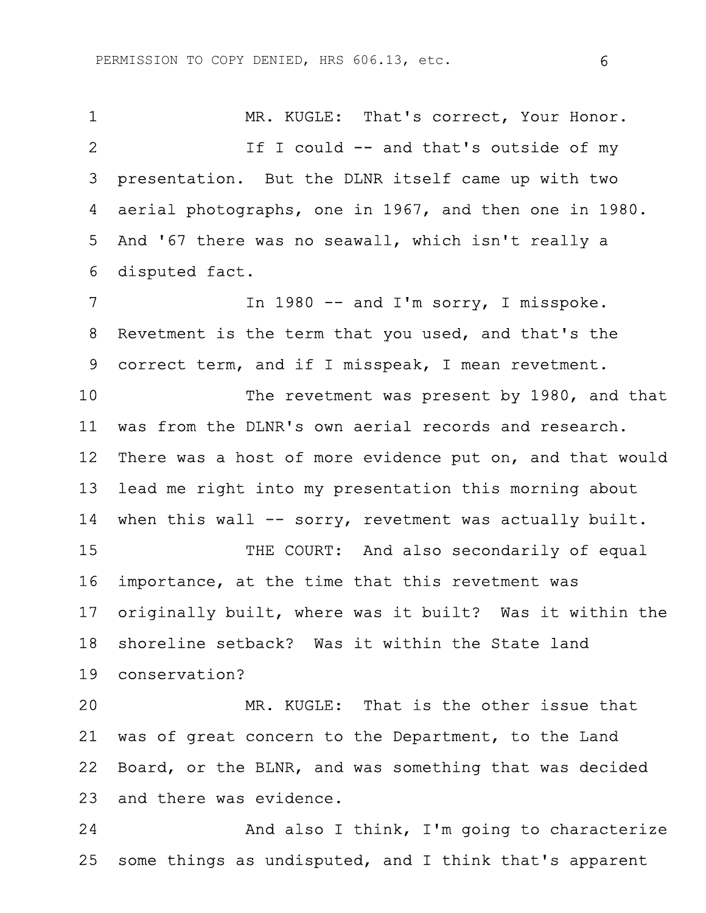1 MR. KUGLE: That's correct, Your Honor. 2 If I could -- and that's outside of my 3 presentation. But the DLNR itself came up with two 4 aerial photographs, one in 1967, and then one in 1980. 5 And '67 there was no seawall, which isn't really a 6 disputed fact. 7 In 1980 -- and I'm sorry, I misspoke. 8 Revetment is the term that you used, and that's the 9 correct term, and if I misspeak, I mean revetment. 10 The revetment was present by 1980, and that 11 was from the DLNR's own aerial records and research. 12 There was a host of more evidence put on, and that would 13 lead me right into my presentation this morning about 14 when this wall -- sorry, revetment was actually built. 15 THE COURT: And also secondarily of equal 16 importance, at the time that this revetment was 17 originally built, where was it built? Was it within the 18 shoreline setback? Was it within the State land 19 conservation? 20 MR. KUGLE: That is the other issue that 21 was of great concern to the Department, to the Land 22 Board, or the BLNR, and was something that was decided 23 and there was evidence. 24 And also I think, I'm going to characterize

25 some things as undisputed, and I think that's apparent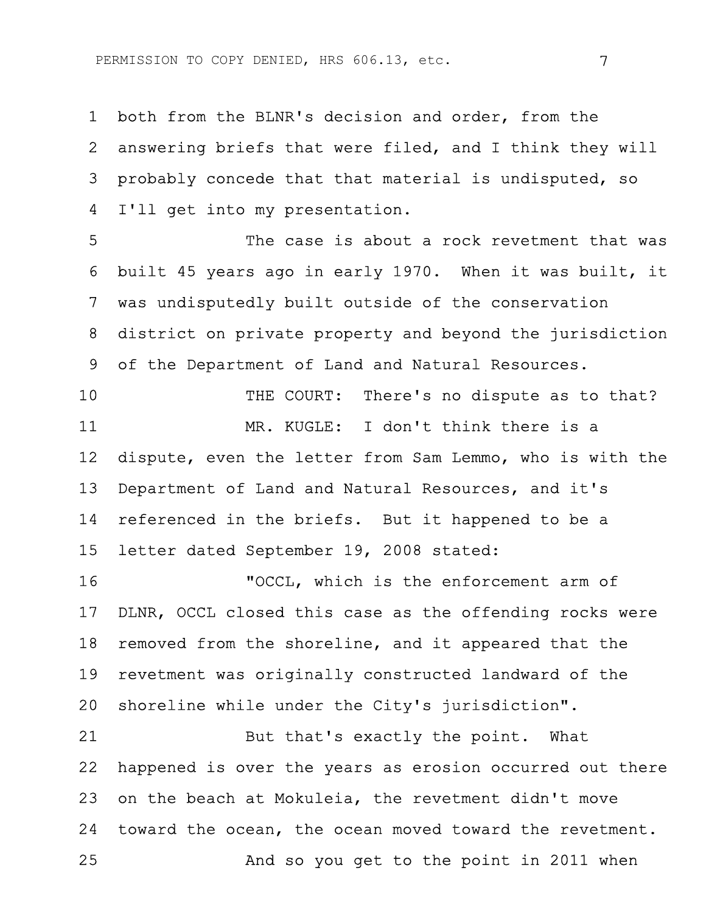1 both from the BLNR's decision and order, from the 2 answering briefs that were filed, and I think they will 3 probably concede that that material is undisputed, so 4 I'll get into my presentation.

5 The case is about a rock revetment that was 6 built 45 years ago in early 1970. When it was built, it 7 was undisputedly built outside of the conservation 8 district on private property and beyond the jurisdiction 9 of the Department of Land and Natural Resources.

10 THE COURT: There's no dispute as to that? 11 MR. KUGLE: I don't think there is a 12 dispute, even the letter from Sam Lemmo, who is with the 13 Department of Land and Natural Resources, and it's 14 referenced in the briefs. But it happened to be a 15 letter dated September 19, 2008 stated:

16 "OCCL, which is the enforcement arm of 17 DLNR, OCCL closed this case as the offending rocks were 18 removed from the shoreline, and it appeared that the 19 revetment was originally constructed landward of the 20 shoreline while under the City's jurisdiction".

21 But that's exactly the point. What 22 happened is over the years as erosion occurred out there 23 on the beach at Mokuleia, the revetment didn't move 24 toward the ocean, the ocean moved toward the revetment. 25 And so you get to the point in 2011 when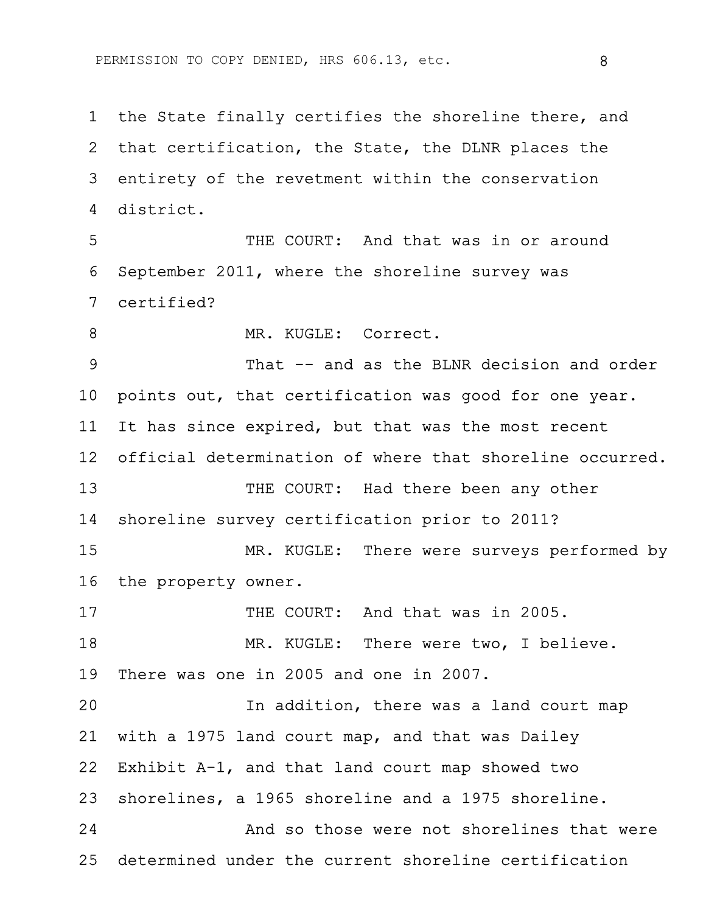1 the State finally certifies the shoreline there, and 2 that certification, the State, the DLNR places the 3 entirety of the revetment within the conservation 4 district.

5 THE COURT: And that was in or around 6 September 2011, where the shoreline survey was 7 certified?

8 MR. KUGLE: Correct.

9 That -- and as the BLNR decision and order 10 points out, that certification was good for one year. 11 It has since expired, but that was the most recent 12 official determination of where that shoreline occurred. 13 THE COURT: Had there been any other 14 shoreline survey certification prior to 2011? 15 MR. KUGLE: There were surveys performed by 16 the property owner. 17 THE COURT: And that was in 2005. 18 MR. KUGLE: There were two, I believe. 19 There was one in 2005 and one in 2007. 20 In addition, there was a land court map 21 with a 1975 land court map, and that was Dailey 22 Exhibit A-1, and that land court map showed two 23 shorelines, a 1965 shoreline and a 1975 shoreline. 24 And so those were not shorelines that were 25 determined under the current shoreline certification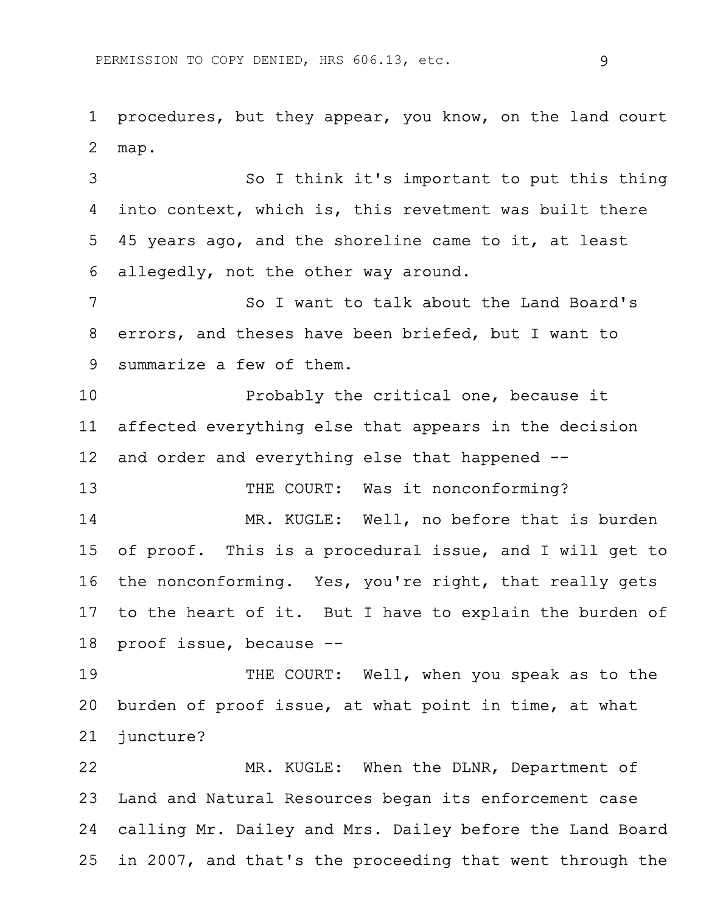1 procedures, but they appear, you know, on the land court 2 map.

3 So I think it's important to put this thing 4 into context, which is, this revetment was built there 5 45 years ago, and the shoreline came to it, at least 6 allegedly, not the other way around.

7 So I want to talk about the Land Board's 8 errors, and theses have been briefed, but I want to 9 summarize a few of them.

10 Probably the critical one, because it 11 affected everything else that appears in the decision 12 and order and everything else that happened --

13 THE COURT: Was it nonconforming?

14 MR. KUGLE: Well, no before that is burden 15 of proof. This is a procedural issue, and I will get to 16 the nonconforming. Yes, you're right, that really gets 17 to the heart of it. But I have to explain the burden of 18 proof issue, because --

19 THE COURT: Well, when you speak as to the 20 burden of proof issue, at what point in time, at what 21 juncture?

22 MR. KUGLE: When the DLNR, Department of 23 Land and Natural Resources began its enforcement case 24 calling Mr. Dailey and Mrs. Dailey before the Land Board 25 in 2007, and that's the proceeding that went through the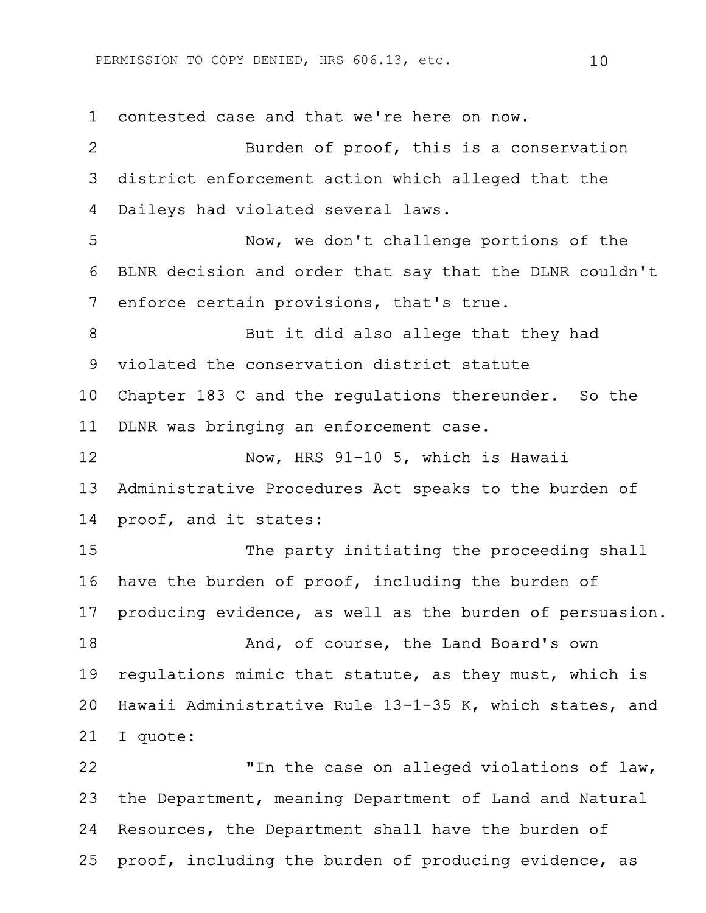1 contested case and that we're here on now. 2 Burden of proof, this is a conservation 3 district enforcement action which alleged that the 4 Daileys had violated several laws. 5 Now, we don't challenge portions of the 6 BLNR decision and order that say that the DLNR couldn't 7 enforce certain provisions, that's true. 8 But it did also allege that they had 9 violated the conservation district statute 10 Chapter 183 C and the regulations thereunder. So the 11 DLNR was bringing an enforcement case. 12 Now, HRS 91-10 5, which is Hawaii 13 Administrative Procedures Act speaks to the burden of 14 proof, and it states: 15 The party initiating the proceeding shall 16 have the burden of proof, including the burden of 17 producing evidence, as well as the burden of persuasion. 18 And, of course, the Land Board's own 19 regulations mimic that statute, as they must, which is 20 Hawaii Administrative Rule 13-1-35 K, which states, and 21 I quote: 22 "In the case on alleged violations of law, 23 the Department, meaning Department of Land and Natural 24 Resources, the Department shall have the burden of

25 proof, including the burden of producing evidence, as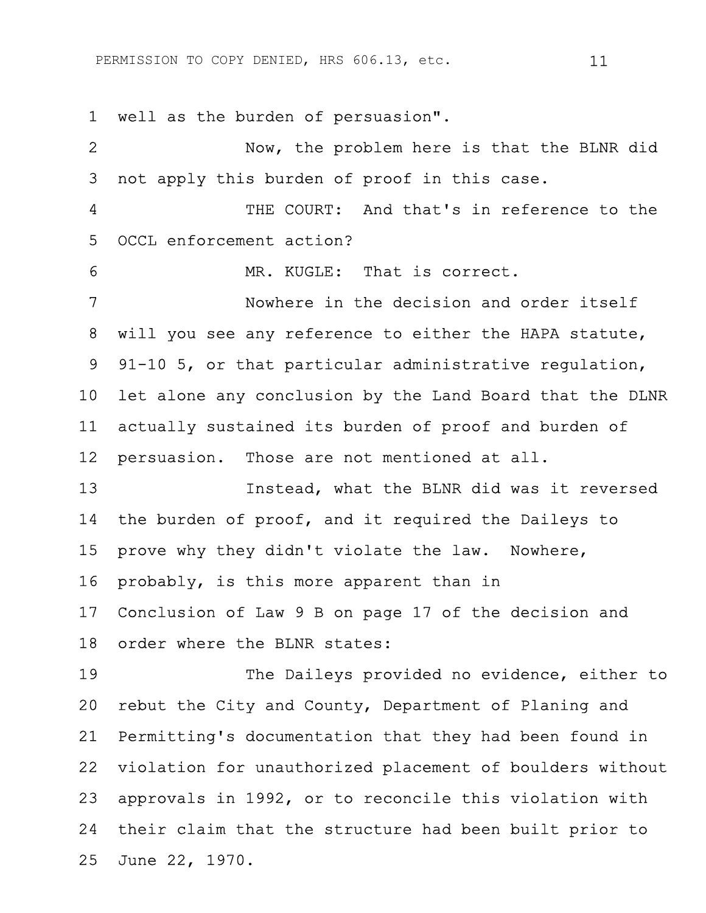1 well as the burden of persuasion".

2 Now, the problem here is that the BLNR did 3 not apply this burden of proof in this case. 4 THE COURT: And that's in reference to the 5 OCCL enforcement action? 6 MR. KUGLE: That is correct. 7 Nowhere in the decision and order itself 8 will you see any reference to either the HAPA statute, 9 91-10 5, or that particular administrative regulation, 10 let alone any conclusion by the Land Board that the DLNR 11 actually sustained its burden of proof and burden of 12 persuasion. Those are not mentioned at all. 13 Instead, what the BLNR did was it reversed 14 the burden of proof, and it required the Daileys to 15 prove why they didn't violate the law. Nowhere, 16 probably, is this more apparent than in 17 Conclusion of Law 9 B on page 17 of the decision and 18 order where the BLNR states: 19 The Daileys provided no evidence, either to 20 rebut the City and County, Department of Planing and 21 Permitting's documentation that they had been found in 22 violation for unauthorized placement of boulders without 23 approvals in 1992, or to reconcile this violation with 24 their claim that the structure had been built prior to 25 June 22, 1970.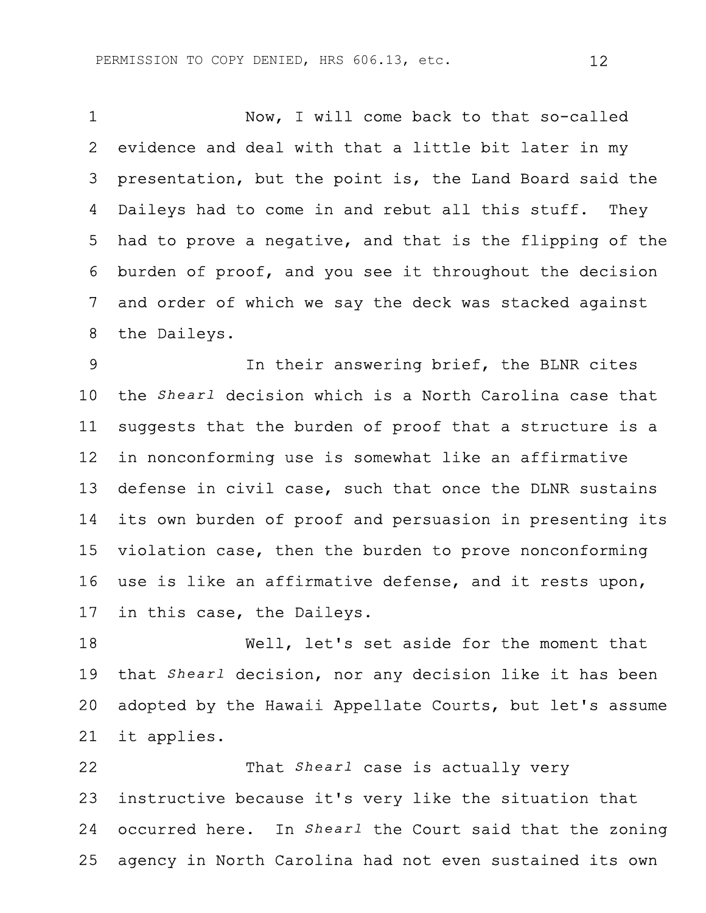1 Now, I will come back to that so-called 2 evidence and deal with that a little bit later in my 3 presentation, but the point is, the Land Board said the 4 Daileys had to come in and rebut all this stuff. They 5 had to prove a negative, and that is the flipping of the 6 burden of proof, and you see it throughout the decision 7 and order of which we say the deck was stacked against 8 the Daileys.

9 In their answering brief, the BLNR cites 10 the *Shearl* decision which is a North Carolina case that 11 suggests that the burden of proof that a structure is a 12 in nonconforming use is somewhat like an affirmative 13 defense in civil case, such that once the DLNR sustains 14 its own burden of proof and persuasion in presenting its 15 violation case, then the burden to prove nonconforming 16 use is like an affirmative defense, and it rests upon, 17 in this case, the Daileys.

18 Well, let's set aside for the moment that 19 that *Shearl* decision, nor any decision like it has been 20 adopted by the Hawaii Appellate Courts, but let's assume 21 it applies.

22 That *Shearl* case is actually very 23 instructive because it's very like the situation that 24 occurred here. In *Shearl* the Court said that the zoning 25 agency in North Carolina had not even sustained its own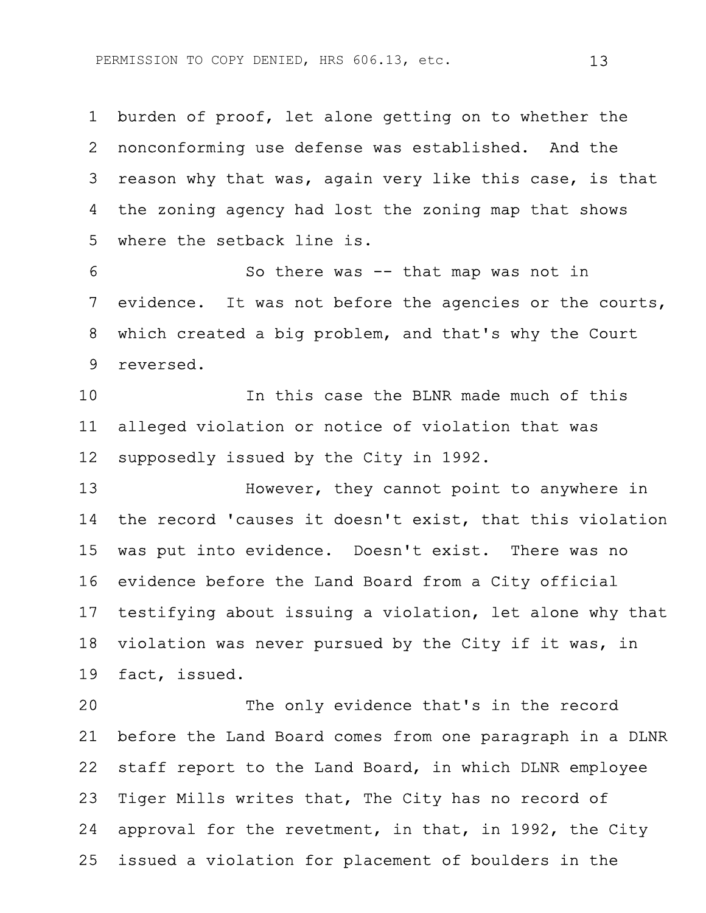1 burden of proof, let alone getting on to whether the 2 nonconforming use defense was established. And the 3 reason why that was, again very like this case, is that 4 the zoning agency had lost the zoning map that shows 5 where the setback line is.

6 So there was -- that map was not in 7 evidence. It was not before the agencies or the courts, 8 which created a big problem, and that's why the Court 9 reversed.

10 In this case the BLNR made much of this 11 alleged violation or notice of violation that was 12 supposedly issued by the City in 1992.

13 However, they cannot point to anywhere in 14 the record 'causes it doesn't exist, that this violation 15 was put into evidence. Doesn't exist. There was no 16 evidence before the Land Board from a City official 17 testifying about issuing a violation, let alone why that 18 violation was never pursued by the City if it was, in 19 fact, issued.

20 The only evidence that's in the record 21 before the Land Board comes from one paragraph in a DLNR 22 staff report to the Land Board, in which DLNR employee 23 Tiger Mills writes that, The City has no record of 24 approval for the revetment, in that, in 1992, the City 25 issued a violation for placement of boulders in the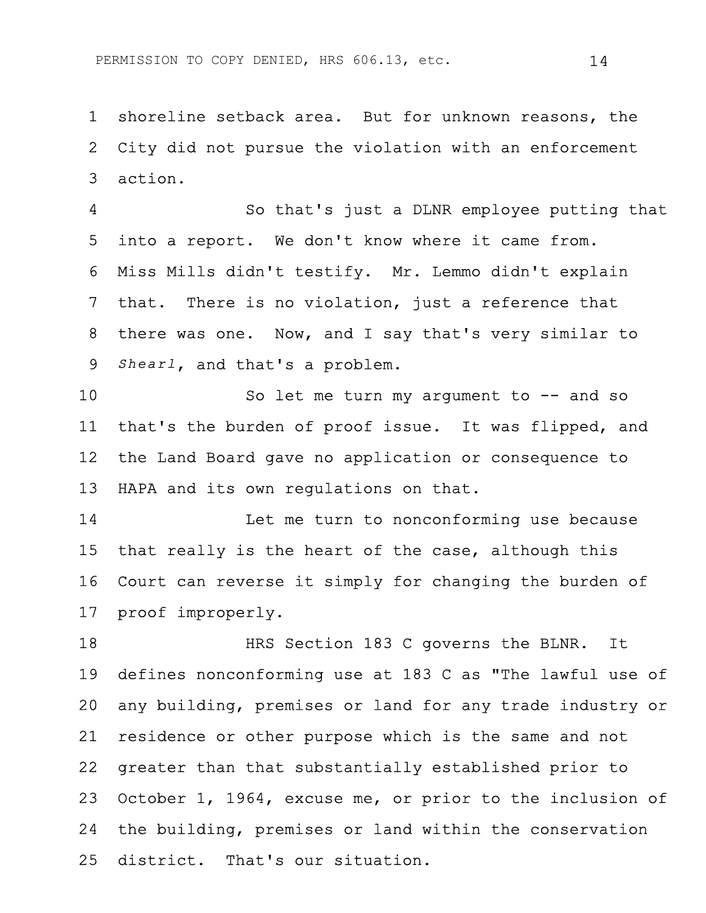1 shoreline setback area. But for unknown reasons, the 2 City did not pursue the violation with an enforcement 3 action.

4 So that's just a DLNR employee putting that 5 into a report. We don't know where it came from. 6 Miss Mills didn't testify. Mr. Lemmo didn't explain 7 that. There is no violation, just a reference that 8 there was one. Now, and I say that's very similar to 9 *Shearl*, and that's a problem.

10 So let me turn my argument to -- and so 11 that's the burden of proof issue. It was flipped, and 12 the Land Board gave no application or consequence to 13 HAPA and its own regulations on that.

14 Let me turn to nonconforming use because 15 that really is the heart of the case, although this 16 Court can reverse it simply for changing the burden of 17 proof improperly.

18 HRS Section 183 C governs the BLNR. It 19 defines nonconforming use at 183 C as "The lawful use of 20 any building, premises or land for any trade industry or 21 residence or other purpose which is the same and not 22 greater than that substantially established prior to 23 October 1, 1964, excuse me, or prior to the inclusion of 24 the building, premises or land within the conservation 25 district. That's our situation.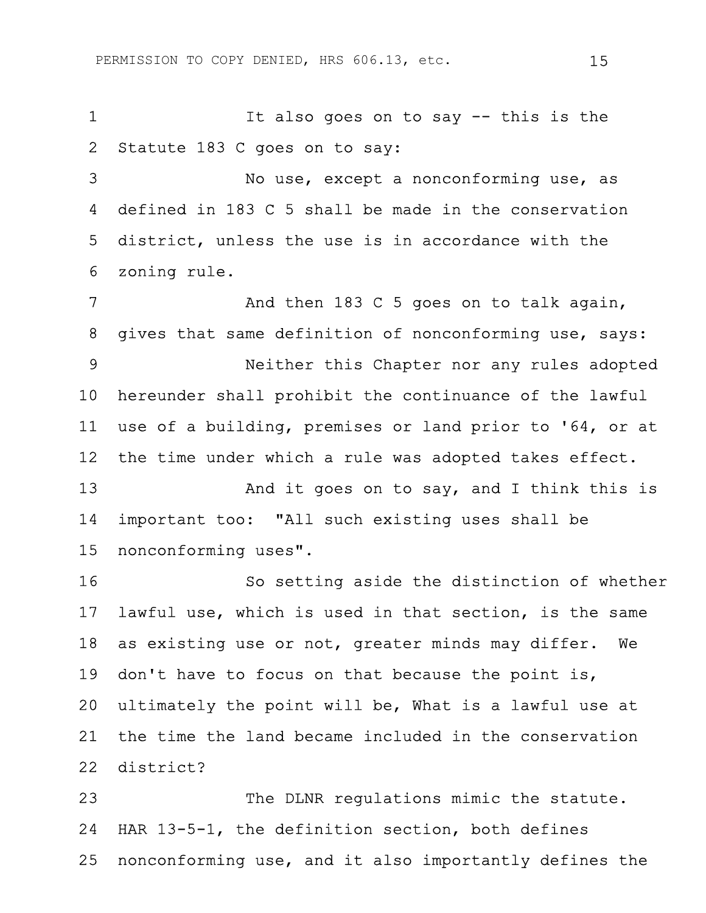1 It also goes on to say -- this is the 2 Statute 183 C goes on to say:

3 No use, except a nonconforming use, as 4 defined in 183 C 5 shall be made in the conservation 5 district, unless the use is in accordance with the 6 zoning rule.

7 And then 183 C 5 goes on to talk again, 8 gives that same definition of nonconforming use, says: 9 Neither this Chapter nor any rules adopted 10 hereunder shall prohibit the continuance of the lawful 11 use of a building, premises or land prior to '64, or at 12 the time under which a rule was adopted takes effect. 13 And it goes on to say, and I think this is 14 important too: "All such existing uses shall be 15 nonconforming uses".

16 So setting aside the distinction of whether 17 lawful use, which is used in that section, is the same 18 as existing use or not, greater minds may differ. We 19 don't have to focus on that because the point is, 20 ultimately the point will be, What is a lawful use at 21 the time the land became included in the conservation 22 district?

23 The DLNR regulations mimic the statute. 24 HAR 13-5-1, the definition section, both defines 25 nonconforming use, and it also importantly defines the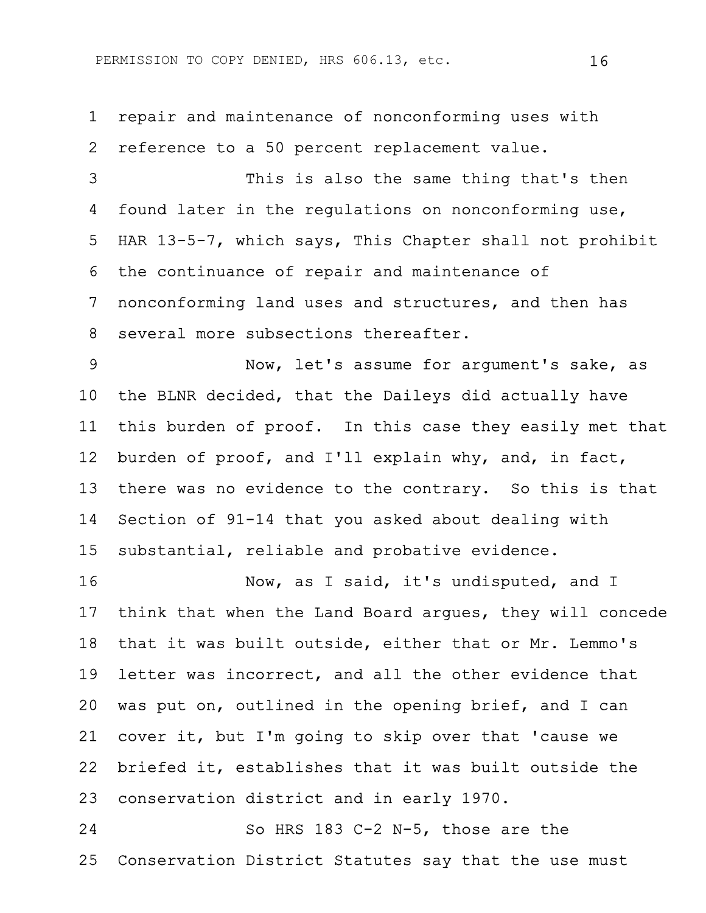1 repair and maintenance of nonconforming uses with 2 reference to a 50 percent replacement value. 3 This is also the same thing that's then 4 found later in the regulations on nonconforming use, 5 HAR 13-5-7, which says, This Chapter shall not prohibit 6 the continuance of repair and maintenance of 7 nonconforming land uses and structures, and then has 8 several more subsections thereafter. 9 Now, let's assume for argument's sake, as 10 the BLNR decided, that the Daileys did actually have 11 this burden of proof. In this case they easily met that

12 burden of proof, and I'll explain why, and, in fact, 13 there was no evidence to the contrary. So this is that 14 Section of 91-14 that you asked about dealing with 15 substantial, reliable and probative evidence.

16 Now, as I said, it's undisputed, and I 17 think that when the Land Board argues, they will concede 18 that it was built outside, either that or Mr. Lemmo's 19 letter was incorrect, and all the other evidence that 20 was put on, outlined in the opening brief, and I can 21 cover it, but I'm going to skip over that 'cause we 22 briefed it, establishes that it was built outside the 23 conservation district and in early 1970.

24 So HRS 183 C-2 N-5, those are the 25 Conservation District Statutes say that the use must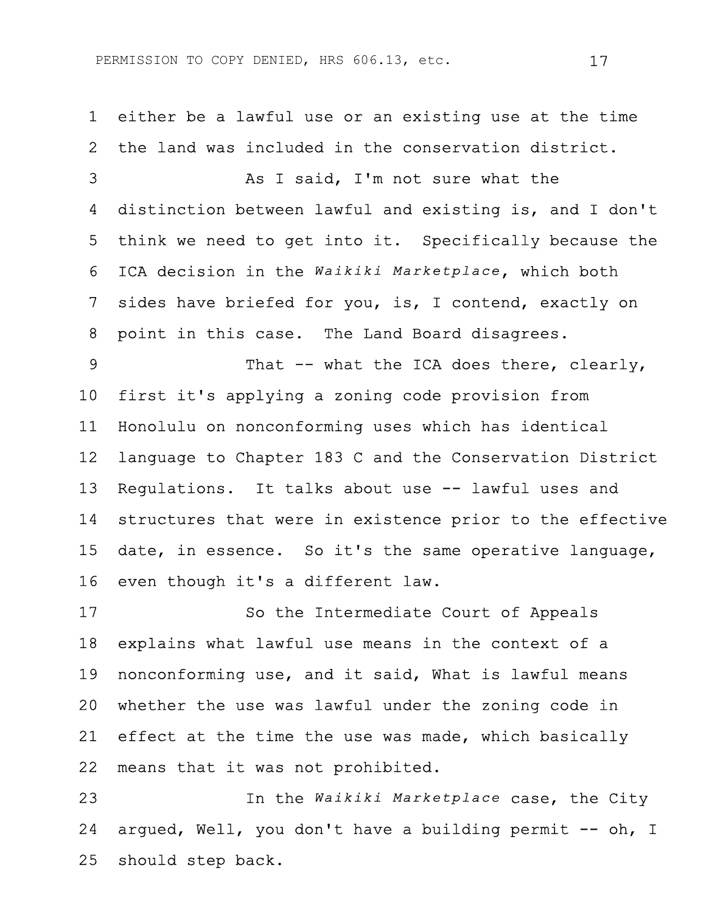1 either be a lawful use or an existing use at the time 2 the land was included in the conservation district. 3 As I said, I'm not sure what the 4 distinction between lawful and existing is, and I don't 5 think we need to get into it. Specifically because the 6 ICA decision in the *Waikiki Marketplace*, which both 7 sides have briefed for you, is, I contend, exactly on 8 point in this case. The Land Board disagrees. 9 That -- what the ICA does there, clearly, 10 first it's applying a zoning code provision from 11 Honolulu on nonconforming uses which has identical 12 language to Chapter 183 C and the Conservation District 13 Regulations. It talks about use -- lawful uses and 14 structures that were in existence prior to the effective 15 date, in essence. So it's the same operative language, 16 even though it's a different law. 17 So the Intermediate Court of Appeals 18 explains what lawful use means in the context of a 19 nonconforming use, and it said, What is lawful means 20 whether the use was lawful under the zoning code in 21 effect at the time the use was made, which basically

22 means that it was not prohibited.

23 In the *Waikiki Marketplace* case, the City 24 argued, Well, you don't have a building permit -- oh, I 25 should step back.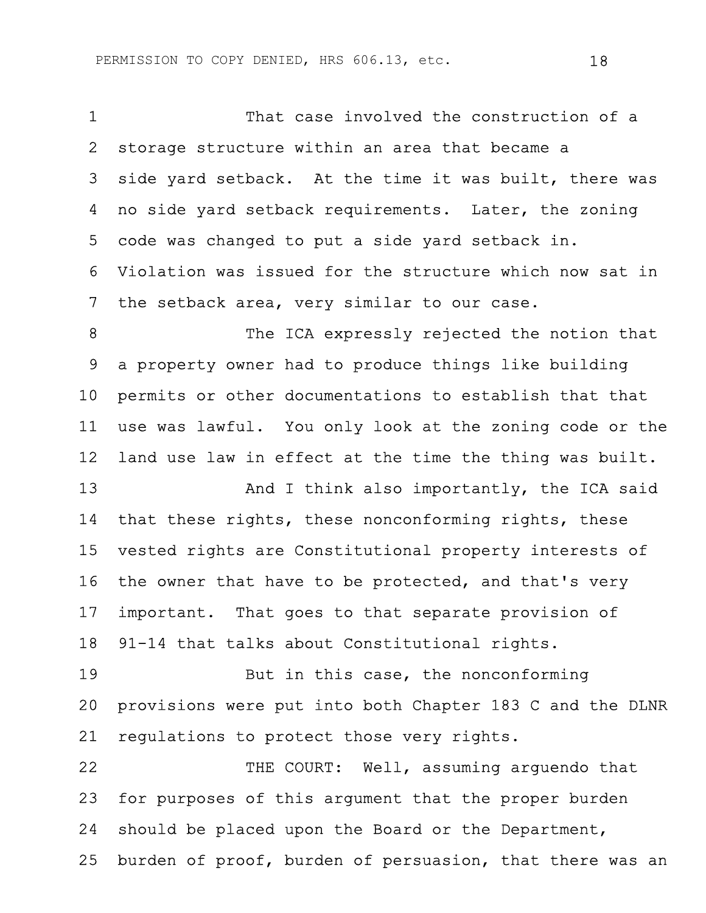1 That case involved the construction of a 2 storage structure within an area that became a 3 side yard setback. At the time it was built, there was 4 no side yard setback requirements. Later, the zoning 5 code was changed to put a side yard setback in. 6 Violation was issued for the structure which now sat in 7 the setback area, very similar to our case. 8 The ICA expressly rejected the notion that 9 a property owner had to produce things like building 10 permits or other documentations to establish that that 11 use was lawful. You only look at the zoning code or the 12 land use law in effect at the time the thing was built. 13 And I think also importantly, the ICA said 14 that these rights, these nonconforming rights, these 15 vested rights are Constitutional property interests of 16 the owner that have to be protected, and that's very 17 important. That goes to that separate provision of 18 91-14 that talks about Constitutional rights. 19 But in this case, the nonconforming 20 provisions were put into both Chapter 183 C and the DLNR 21 regulations to protect those very rights. 22 THE COURT: Well, assuming arguendo that 23 for purposes of this argument that the proper burden 24 should be placed upon the Board or the Department, 25 burden of proof, burden of persuasion, that there was an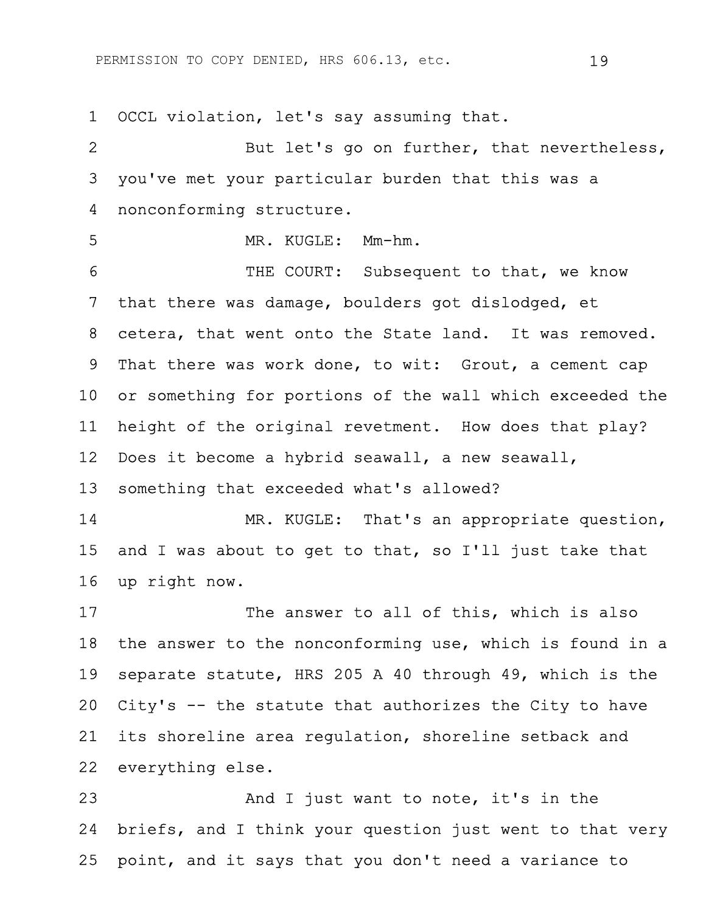1 OCCL violation, let's say assuming that. 2 But let's go on further, that nevertheless, 3 you've met your particular burden that this was a 4 nonconforming structure. 5 MR. KUGLE: Mm-hm. 6 THE COURT: Subsequent to that, we know 7 that there was damage, boulders got dislodged, et 8 cetera, that went onto the State land. It was removed. 9 That there was work done, to wit: Grout, a cement cap 10 or something for portions of the wall which exceeded the 11 height of the original revetment. How does that play? 12 Does it become a hybrid seawall, a new seawall, 13 something that exceeded what's allowed? 14 MR. KUGLE: That's an appropriate question, 15 and I was about to get to that, so I'll just take that 16 up right now. 17 The answer to all of this, which is also 18 the answer to the nonconforming use, which is found in a 19 separate statute, HRS 205 A 40 through 49, which is the 20 City's -- the statute that authorizes the City to have 21 its shoreline area regulation, shoreline setback and 22 everything else. 23 And I just want to note, it's in the 24 briefs, and I think your question just went to that very

25 point, and it says that you don't need a variance to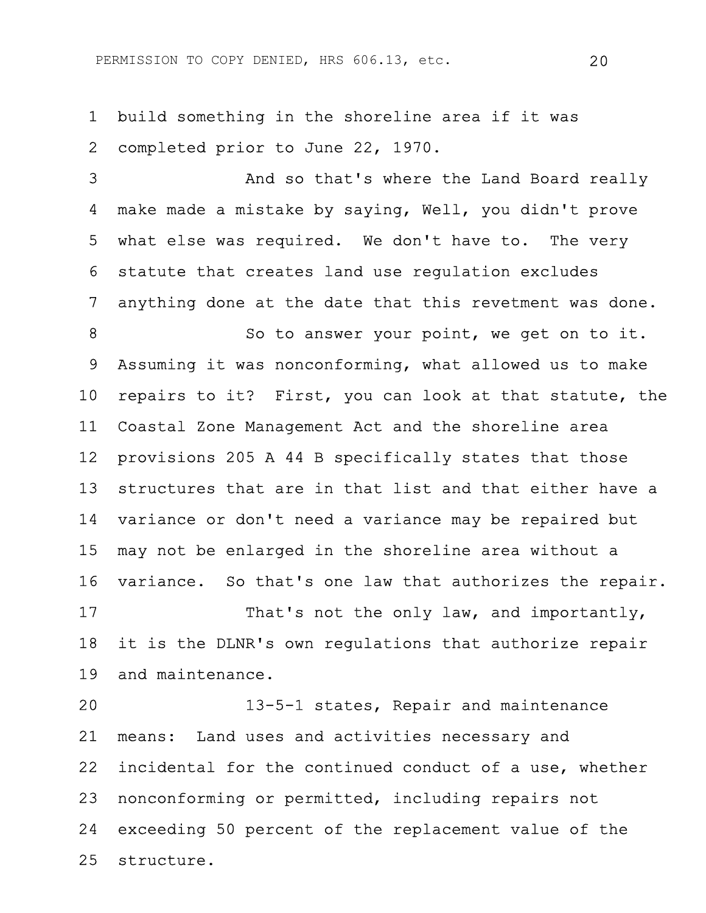PERMISSION TO COPY DENIED, HRS 606.13, etc. 20

1 build something in the shoreline area if it was 2 completed prior to June 22, 1970.

3 And so that's where the Land Board really 4 make made a mistake by saying, Well, you didn't prove 5 what else was required. We don't have to. The very 6 statute that creates land use regulation excludes 7 anything done at the date that this revetment was done.

8 So to answer your point, we get on to it. 9 Assuming it was nonconforming, what allowed us to make 10 repairs to it? First, you can look at that statute, the 11 Coastal Zone Management Act and the shoreline area 12 provisions 205 A 44 B specifically states that those 13 structures that are in that list and that either have a 14 variance or don't need a variance may be repaired but 15 may not be enlarged in the shoreline area without a 16 variance. So that's one law that authorizes the repair. 17 That's not the only law, and importantly,

18 it is the DLNR's own regulations that authorize repair 19 and maintenance.

20 13-5-1 states, Repair and maintenance 21 means: Land uses and activities necessary and 22 incidental for the continued conduct of a use, whether 23 nonconforming or permitted, including repairs not 24 exceeding 50 percent of the replacement value of the 25 structure.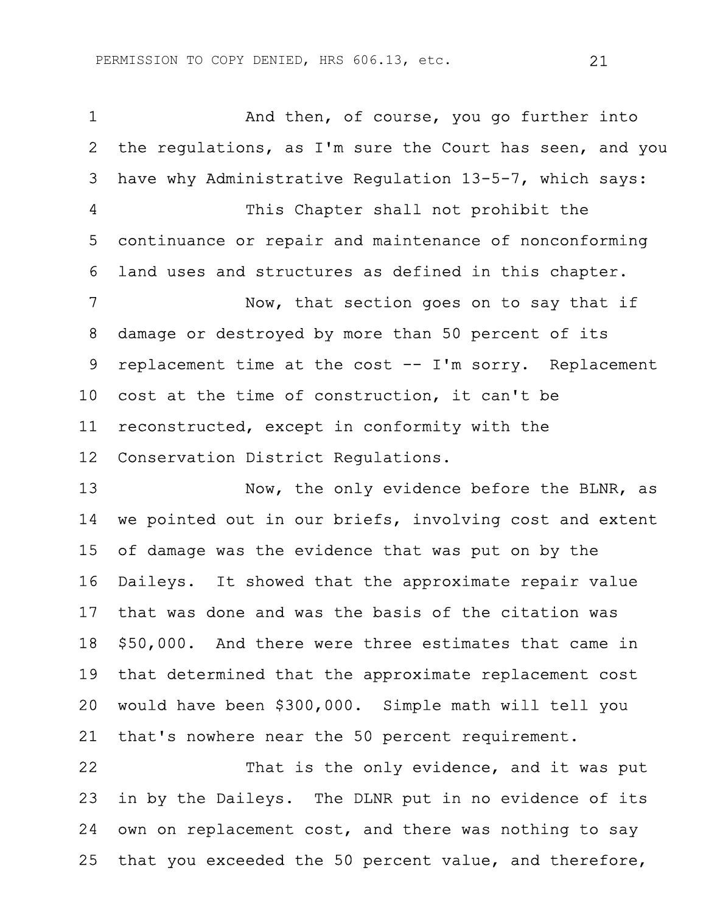1 And then, of course, you go further into 2 the regulations, as I'm sure the Court has seen, and you 3 have why Administrative Regulation 13-5-7, which says: 4 This Chapter shall not prohibit the 5 continuance or repair and maintenance of nonconforming 6 land uses and structures as defined in this chapter. 7 Now, that section goes on to say that if 8 damage or destroyed by more than 50 percent of its 9 replacement time at the cost -- I'm sorry. Replacement 10 cost at the time of construction, it can't be 11 reconstructed, except in conformity with the 12 Conservation District Regulations.

13 Now, the only evidence before the BLNR, as 14 we pointed out in our briefs, involving cost and extent 15 of damage was the evidence that was put on by the 16 Daileys. It showed that the approximate repair value 17 that was done and was the basis of the citation was 18 \$50,000. And there were three estimates that came in 19 that determined that the approximate replacement cost 20 would have been \$300,000. Simple math will tell you 21 that's nowhere near the 50 percent requirement.

22 That is the only evidence, and it was put 23 in by the Daileys. The DLNR put in no evidence of its 24 own on replacement cost, and there was nothing to say 25 that you exceeded the 50 percent value, and therefore,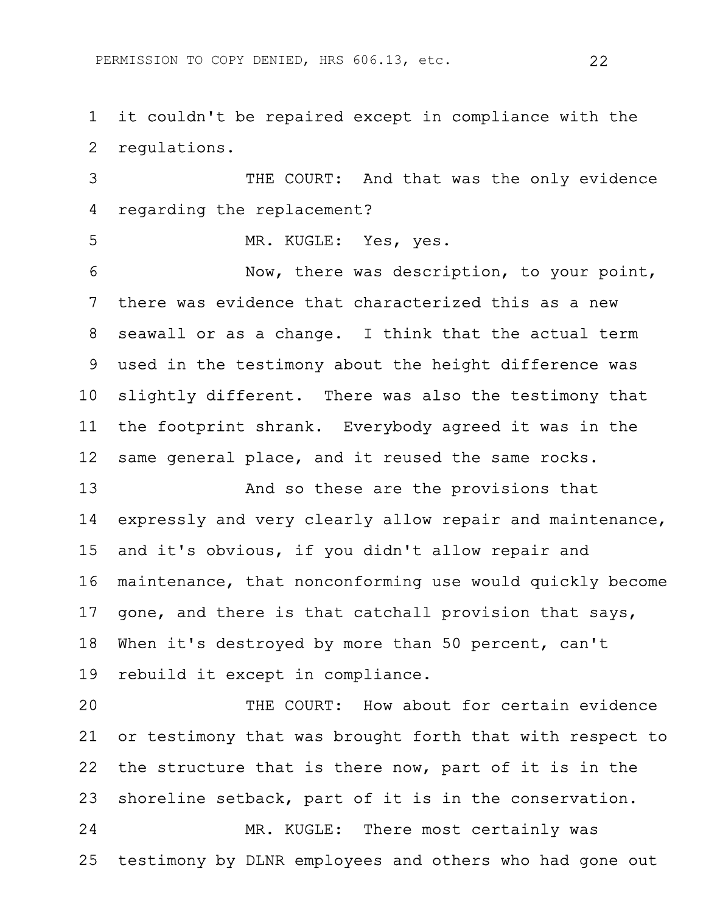1 it couldn't be repaired except in compliance with the 2 regulations.

3 THE COURT: And that was the only evidence 4 regarding the replacement?

5 MR. KUGLE: Yes, yes.

6 Now, there was description, to your point, 7 there was evidence that characterized this as a new 8 seawall or as a change. I think that the actual term 9 used in the testimony about the height difference was 10 slightly different. There was also the testimony that 11 the footprint shrank. Everybody agreed it was in the 12 same general place, and it reused the same rocks.

13 And so these are the provisions that 14 expressly and very clearly allow repair and maintenance, 15 and it's obvious, if you didn't allow repair and 16 maintenance, that nonconforming use would quickly become 17 gone, and there is that catchall provision that says, 18 When it's destroyed by more than 50 percent, can't 19 rebuild it except in compliance.

20 THE COURT: How about for certain evidence 21 or testimony that was brought forth that with respect to 22 the structure that is there now, part of it is in the 23 shoreline setback, part of it is in the conservation. 24 MR. KUGLE: There most certainly was 25 testimony by DLNR employees and others who had gone out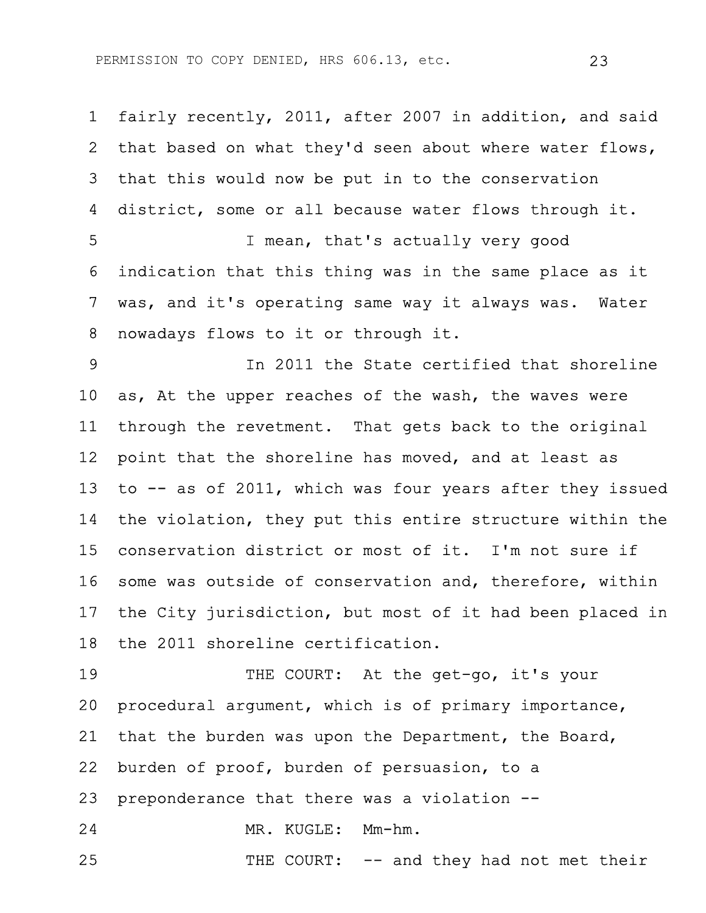1 fairly recently, 2011, after 2007 in addition, and said 2 that based on what they'd seen about where water flows, 3 that this would now be put in to the conservation 4 district, some or all because water flows through it. 5 I mean, that's actually very good 6 indication that this thing was in the same place as it 7 was, and it's operating same way it always was. Water 8 nowadays flows to it or through it.

9 In 2011 the State certified that shoreline 10 as, At the upper reaches of the wash, the waves were 11 through the revetment. That gets back to the original 12 point that the shoreline has moved, and at least as 13 to -- as of 2011, which was four years after they issued 14 the violation, they put this entire structure within the 15 conservation district or most of it. I'm not sure if 16 some was outside of conservation and, therefore, within 17 the City jurisdiction, but most of it had been placed in 18 the 2011 shoreline certification.

19 THE COURT: At the get-go, it's your 20 procedural argument, which is of primary importance, 21 that the burden was upon the Department, the Board, 22 burden of proof, burden of persuasion, to a 23 preponderance that there was a violation -- 24 MR. KUGLE: Mm-hm. 25 THE COURT: -- and they had not met their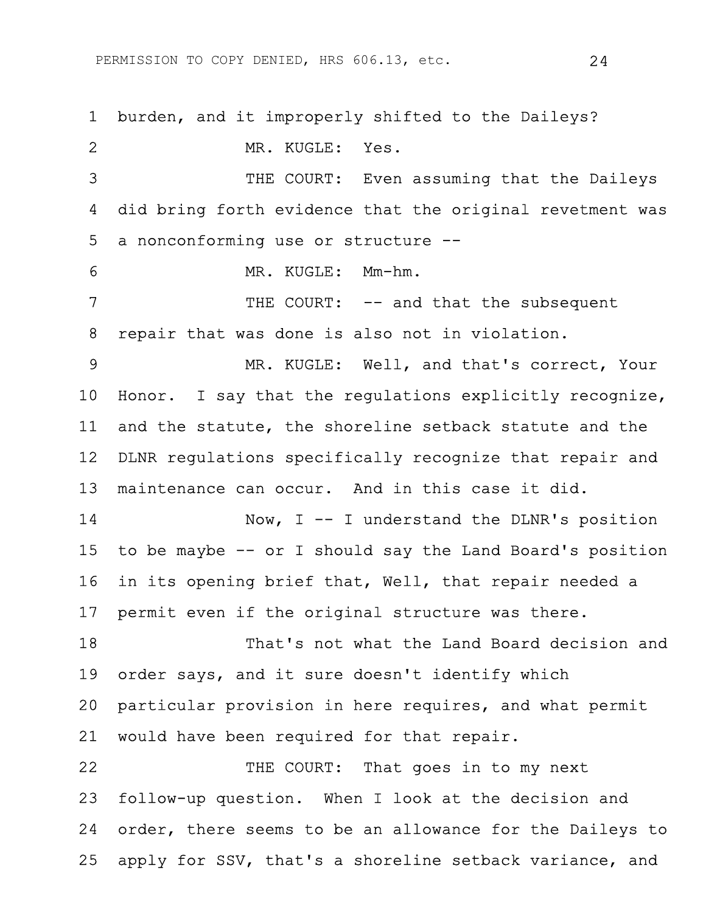PERMISSION TO COPY DENIED, HRS 606.13, etc. 24

1 burden, and it improperly shifted to the Daileys? 2 MR. KUGLE: Yes. 3 THE COURT: Even assuming that the Daileys 4 did bring forth evidence that the original revetment was 5 a nonconforming use or structure -- 6 MR. KUGLE: Mm-hm. 7 THE COURT:  $--$  and that the subsequent 8 repair that was done is also not in violation. 9 MR. KUGLE: Well, and that's correct, Your 10 Honor. I say that the regulations explicitly recognize, 11 and the statute, the shoreline setback statute and the 12 DLNR regulations specifically recognize that repair and 13 maintenance can occur. And in this case it did. 14 Now, I -- I understand the DLNR's position 15 to be maybe -- or I should say the Land Board's position 16 in its opening brief that, Well, that repair needed a 17 permit even if the original structure was there. 18 That's not what the Land Board decision and 19 order says, and it sure doesn't identify which 20 particular provision in here requires, and what permit 21 would have been required for that repair. 22 THE COURT: That goes in to my next 23 follow-up question. When I look at the decision and 24 order, there seems to be an allowance for the Daileys to 25 apply for SSV, that's a shoreline setback variance, and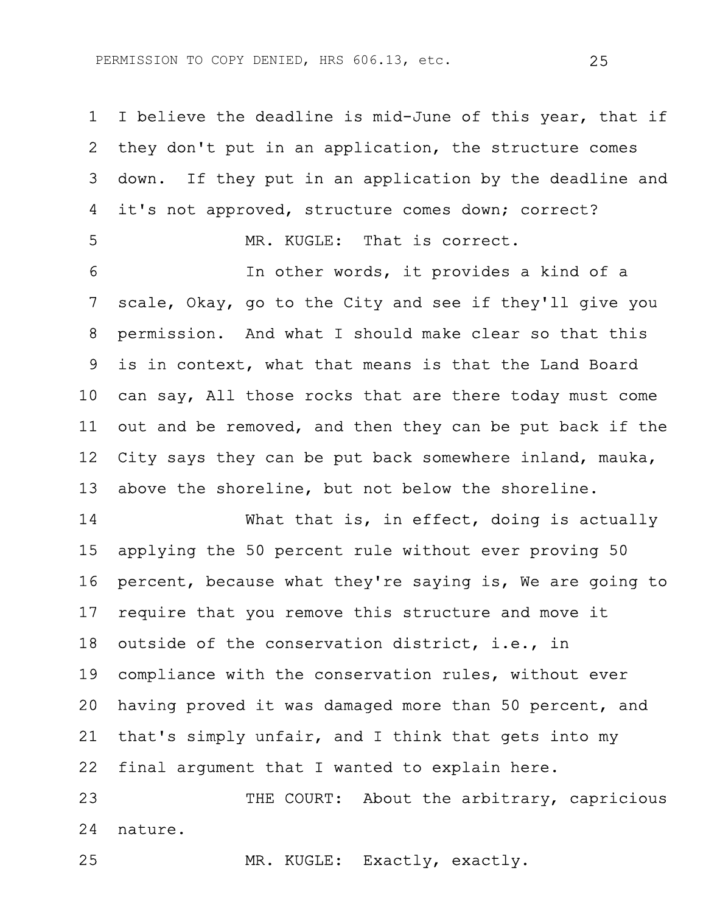1 I believe the deadline is mid-June of this year, that if 2 they don't put in an application, the structure comes 3 down. If they put in an application by the deadline and 4 it's not approved, structure comes down; correct? 5 MR. KUGLE: That is correct.

6 In other words, it provides a kind of a 7 scale, Okay, go to the City and see if they'll give you 8 permission. And what I should make clear so that this 9 is in context, what that means is that the Land Board 10 can say, All those rocks that are there today must come 11 out and be removed, and then they can be put back if the 12 City says they can be put back somewhere inland, mauka, 13 above the shoreline, but not below the shoreline.

14 What that is, in effect, doing is actually 15 applying the 50 percent rule without ever proving 50 16 percent, because what they're saying is, We are going to 17 require that you remove this structure and move it 18 outside of the conservation district, i.e., in 19 compliance with the conservation rules, without ever 20 having proved it was damaged more than 50 percent, and 21 that's simply unfair, and I think that gets into my 22 final argument that I wanted to explain here.

23 THE COURT: About the arbitrary, capricious 24 nature.

25 MR. KUGLE: Exactly, exactly.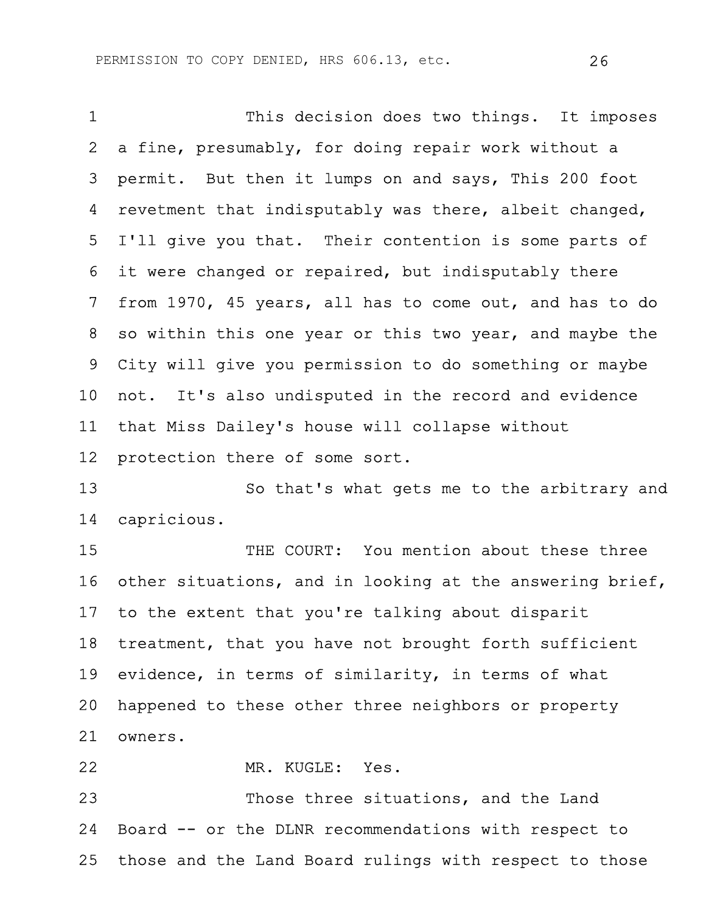1 This decision does two things. It imposes 2 a fine, presumably, for doing repair work without a 3 permit. But then it lumps on and says, This 200 foot 4 revetment that indisputably was there, albeit changed, 5 I'll give you that. Their contention is some parts of 6 it were changed or repaired, but indisputably there 7 from 1970, 45 years, all has to come out, and has to do 8 so within this one year or this two year, and maybe the 9 City will give you permission to do something or maybe 10 not. It's also undisputed in the record and evidence 11 that Miss Dailey's house will collapse without 12 protection there of some sort. 13 So that's what gets me to the arbitrary and 14 capricious. 15 THE COURT: You mention about these three 16 other situations, and in looking at the answering brief, 17 to the extent that you're talking about disparit 18 treatment, that you have not brought forth sufficient 19 evidence, in terms of similarity, in terms of what 20 happened to these other three neighbors or property 21 owners.

22 MR. KUGLE: Yes.

23 Those three situations, and the Land 24 Board -- or the DLNR recommendations with respect to 25 those and the Land Board rulings with respect to those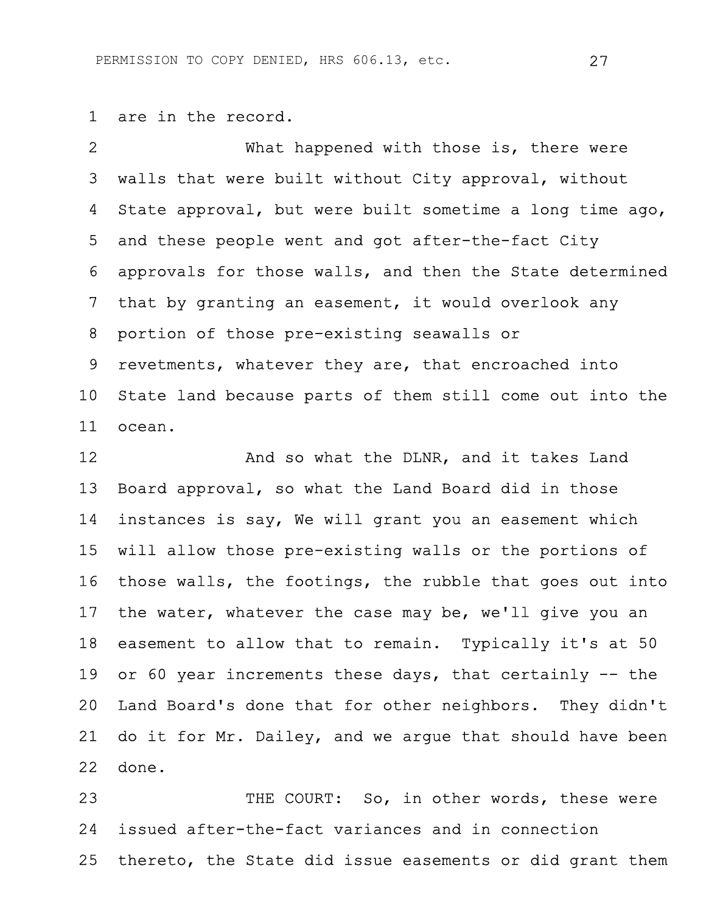1 are in the record.

2 What happened with those is, there were 3 walls that were built without City approval, without 4 State approval, but were built sometime a long time ago, 5 and these people went and got after-the-fact City 6 approvals for those walls, and then the State determined 7 that by granting an easement, it would overlook any 8 portion of those pre-existing seawalls or 9 revetments, whatever they are, that encroached into 10 State land because parts of them still come out into the 11 ocean.

12 **And so what the DLNR, and it takes Land** 13 Board approval, so what the Land Board did in those 14 instances is say, We will grant you an easement which 15 will allow those pre-existing walls or the portions of 16 those walls, the footings, the rubble that goes out into 17 the water, whatever the case may be, we'll give you an 18 easement to allow that to remain. Typically it's at 50 19 or 60 year increments these days, that certainly -- the 20 Land Board's done that for other neighbors. They didn't 21 do it for Mr. Dailey, and we argue that should have been 22 done.

23 THE COURT: So, in other words, these were 24 issued after-the-fact variances and in connection 25 thereto, the State did issue easements or did grant them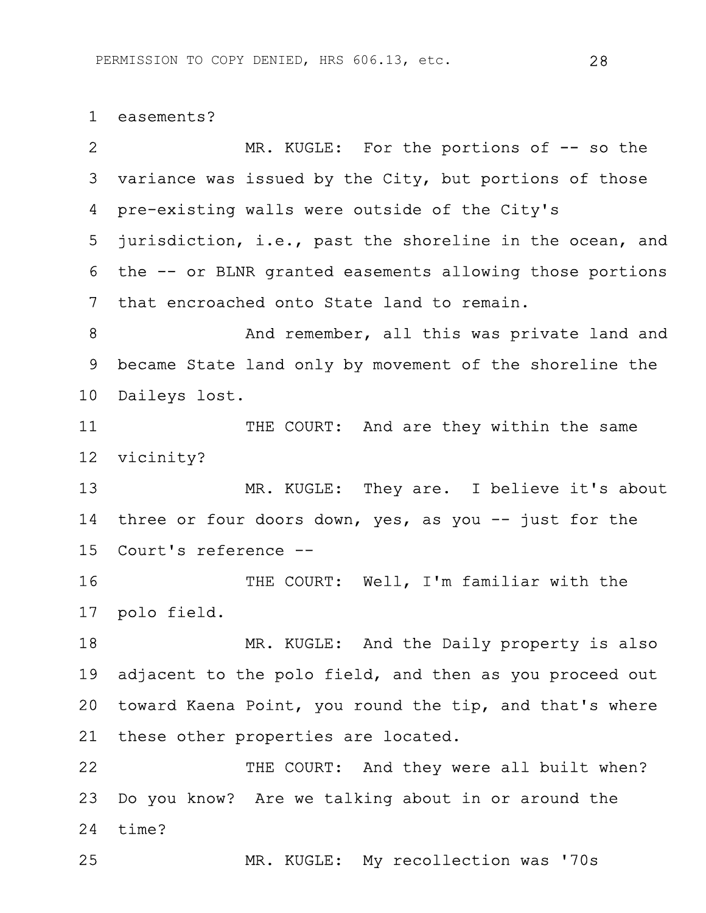## 1 easements?

2 MR. KUGLE: For the portions of  $-$  so the 3 variance was issued by the City, but portions of those 4 pre-existing walls were outside of the City's 5 jurisdiction, i.e., past the shoreline in the ocean, and 6 the -- or BLNR granted easements allowing those portions 7 that encroached onto State land to remain. 8 And remember, all this was private land and 9 became State land only by movement of the shoreline the 10 Daileys lost. 11 THE COURT: And are they within the same 12 vicinity? 13 MR. KUGLE: They are. I believe it's about 14 three or four doors down, yes, as you -- just for the 15 Court's reference -- 16 THE COURT: Well, I'm familiar with the 17 polo field. 18 MR. KUGLE: And the Daily property is also 19 adjacent to the polo field, and then as you proceed out 20 toward Kaena Point, you round the tip, and that's where 21 these other properties are located. 22 THE COURT: And they were all built when? 23 Do you know? Are we talking about in or around the 24 time? 25 MR. KUGLE: My recollection was '70s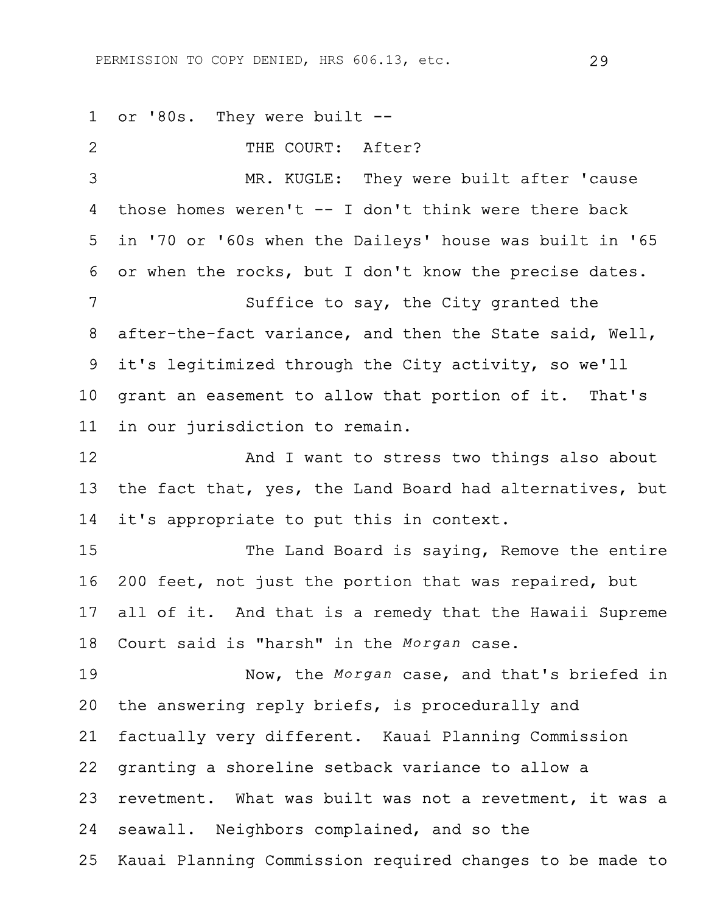1 or '80s. They were built -- 2 THE COURT: After? 3 MR. KUGLE: They were built after 'cause 4 those homes weren't -- I don't think were there back 5 in '70 or '60s when the Daileys' house was built in '65 6 or when the rocks, but I don't know the precise dates. 7 Suffice to say, the City granted the 8 after-the-fact variance, and then the State said, Well, 9 it's legitimized through the City activity, so we'll 10 grant an easement to allow that portion of it. That's 11 in our jurisdiction to remain. 12 And I want to stress two things also about 13 the fact that, yes, the Land Board had alternatives, but 14 it's appropriate to put this in context. 15 The Land Board is saying, Remove the entire 16 200 feet, not just the portion that was repaired, but 17 all of it. And that is a remedy that the Hawaii Supreme 18 Court said is "harsh" in the *Morgan* case. 19 Now, the *Morgan* case, and that's briefed in 20 the answering reply briefs, is procedurally and 21 factually very different. Kauai Planning Commission 22 granting a shoreline setback variance to allow a 23 revetment. What was built was not a revetment, it was a 24 seawall. Neighbors complained, and so the 25 Kauai Planning Commission required changes to be made to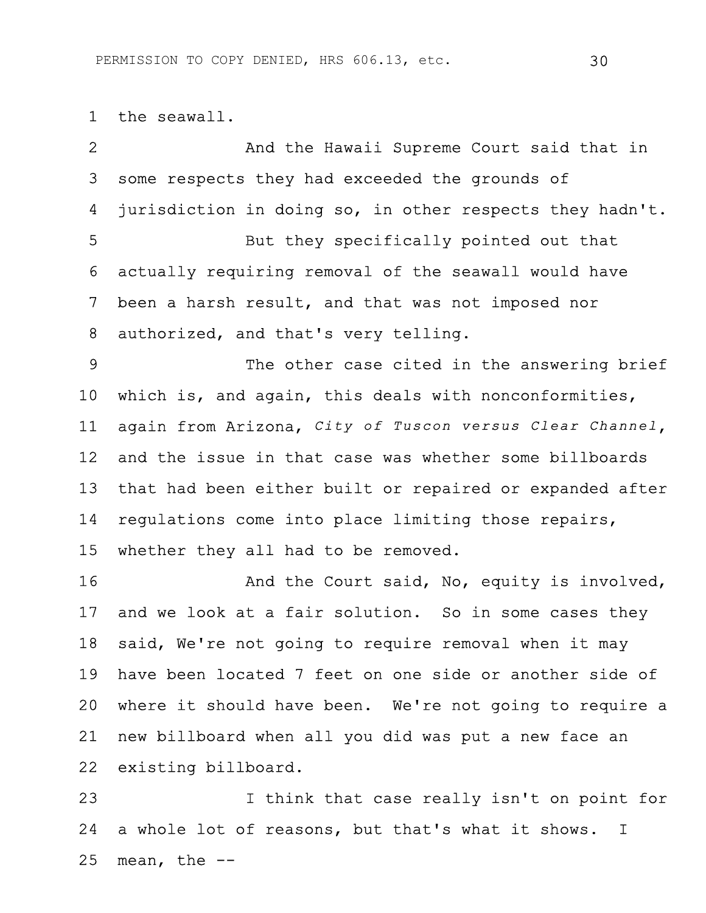1 the seawall.

2 And the Hawaii Supreme Court said that in 3 some respects they had exceeded the grounds of 4 jurisdiction in doing so, in other respects they hadn't. 5 But they specifically pointed out that 6 actually requiring removal of the seawall would have 7 been a harsh result, and that was not imposed nor 8 authorized, and that's very telling. 9 The other case cited in the answering brief 10 which is, and again, this deals with nonconformities, 11 again from Arizona, *City of Tuscon versus Clear Channel*, 12 and the issue in that case was whether some billboards 13 that had been either built or repaired or expanded after 14 regulations come into place limiting those repairs, 15 whether they all had to be removed. 16 And the Court said, No, equity is involved, 17 and we look at a fair solution. So in some cases they 18 said, We're not going to require removal when it may 19 have been located 7 feet on one side or another side of 20 where it should have been. We're not going to require a 21 new billboard when all you did was put a new face an 22 existing billboard.

23 I think that case really isn't on point for 24 a whole lot of reasons, but that's what it shows. I  $25$  mean, the  $-$ -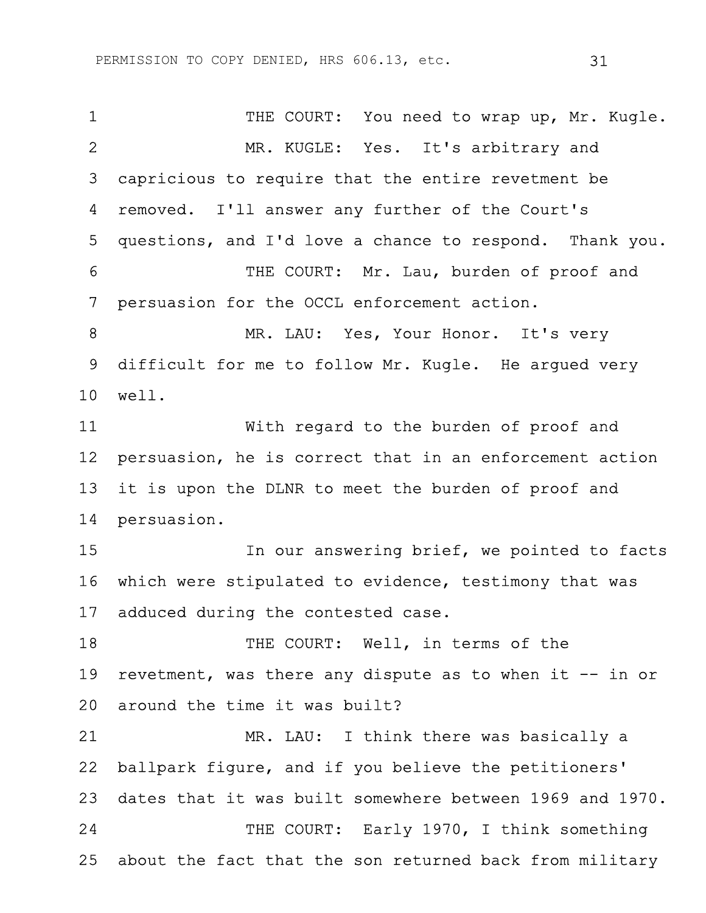1 THE COURT: You need to wrap up, Mr. Kugle. 2 MR. KUGLE: Yes. It's arbitrary and 3 capricious to require that the entire revetment be 4 removed. I'll answer any further of the Court's 5 questions, and I'd love a chance to respond. Thank you. 6 THE COURT: Mr. Lau, burden of proof and 7 persuasion for the OCCL enforcement action. 8 MR. LAU: Yes, Your Honor. It's very 9 difficult for me to follow Mr. Kugle. He argued very 10 well. 11 With regard to the burden of proof and 12 persuasion, he is correct that in an enforcement action 13 it is upon the DLNR to meet the burden of proof and 14 persuasion. 15 In our answering brief, we pointed to facts 16 which were stipulated to evidence, testimony that was 17 adduced during the contested case. 18 THE COURT: Well, in terms of the 19 revetment, was there any dispute as to when it -- in or 20 around the time it was built? 21 MR. LAU: I think there was basically a 22 ballpark figure, and if you believe the petitioners' 23 dates that it was built somewhere between 1969 and 1970. 24 THE COURT: Early 1970, I think something 25 about the fact that the son returned back from military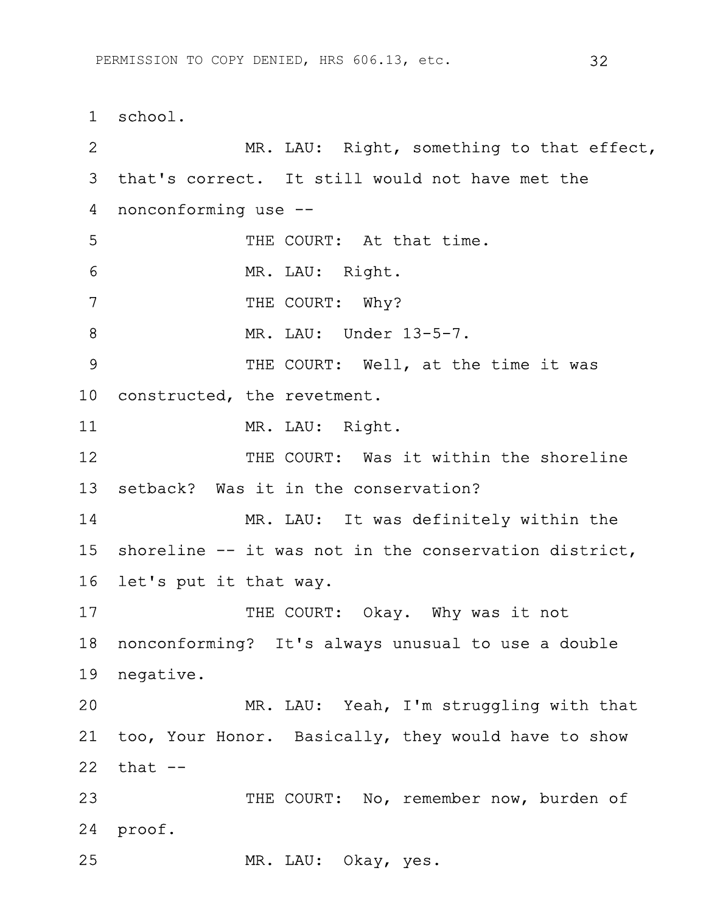1 school. 2 MR. LAU: Right, something to that effect, 3 that's correct. It still would not have met the 4 nonconforming use -- 5 THE COURT: At that time. 6 MR. LAU: Right. 7 THE COURT: Why? 8 MR. LAU: Under 13-5-7. 9 THE COURT: Well, at the time it was 10 constructed, the revetment. 11 MR. LAU: Right. 12 THE COURT: Was it within the shoreline 13 setback? Was it in the conservation? 14 MR. LAU: It was definitely within the 15 shoreline -- it was not in the conservation district, 16 let's put it that way. 17 THE COURT: Okay. Why was it not 18 nonconforming? It's always unusual to use a double 19 negative. 20 MR. LAU: Yeah, I'm struggling with that 21 too, Your Honor. Basically, they would have to show  $22$  that  $-$ 23 THE COURT: No, remember now, burden of 24 proof. 25 MR. LAU: Okay, yes.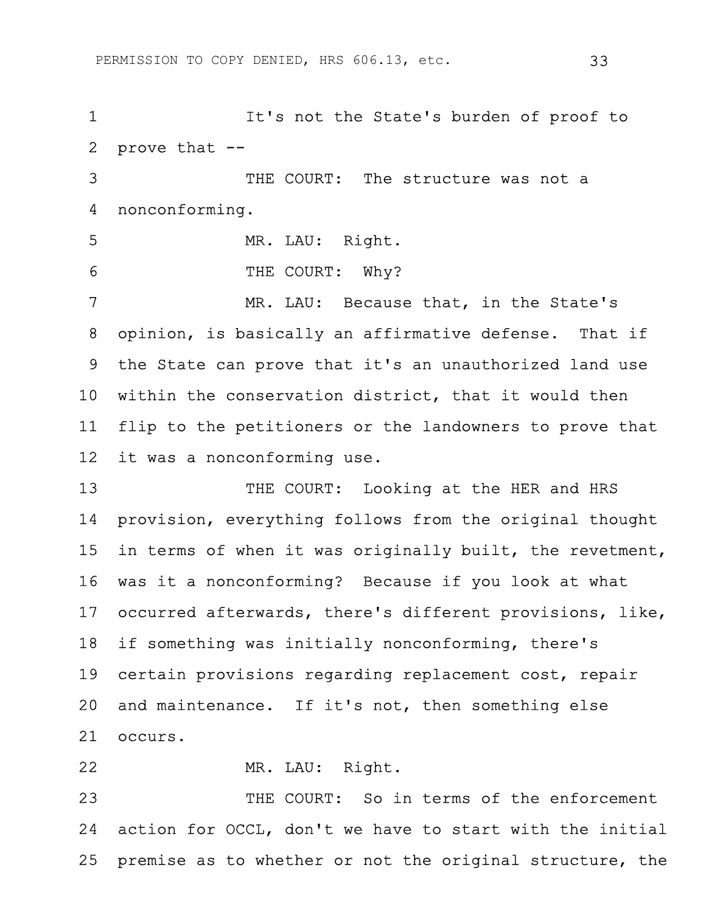1 It's not the State's burden of proof to 2 prove that -- 3 THE COURT: The structure was not a 4 nonconforming. 5 MR. LAU: Right. 6 THE COURT: Why? 7 MR. LAU: Because that, in the State's 8 opinion, is basically an affirmative defense. That if 9 the State can prove that it's an unauthorized land use 10 within the conservation district, that it would then 11 flip to the petitioners or the landowners to prove that 12 it was a nonconforming use. 13 THE COURT: Looking at the HER and HRS 14 provision, everything follows from the original thought 15 in terms of when it was originally built, the revetment, 16 was it a nonconforming? Because if you look at what 17 occurred afterwards, there's different provisions, like, 18 if something was initially nonconforming, there's 19 certain provisions regarding replacement cost, repair 20 and maintenance. If it's not, then something else 21 occurs. 22 MR. LAU: Right.

23 THE COURT: So in terms of the enforcement 24 action for OCCL, don't we have to start with the initial 25 premise as to whether or not the original structure, the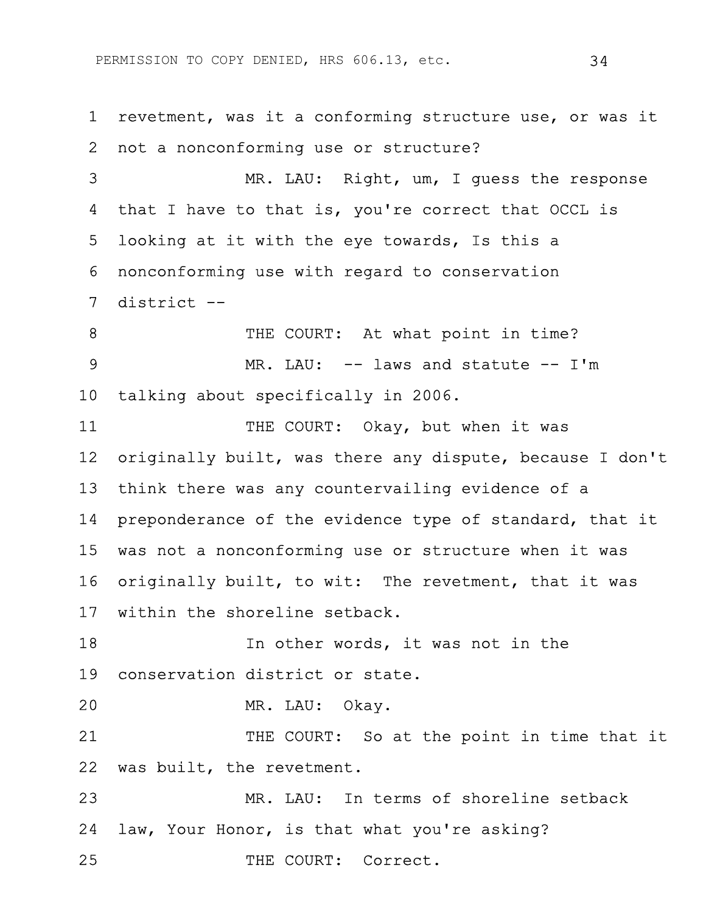1 revetment, was it a conforming structure use, or was it 2 not a nonconforming use or structure? 3 MR. LAU: Right, um, I guess the response 4 that I have to that is, you're correct that OCCL is 5 looking at it with the eye towards, Is this a 6 nonconforming use with regard to conservation 7 district -- 8 THE COURT: At what point in time? 9 MR. LAU: -- laws and statute -- I'm 10 talking about specifically in 2006. 11 THE COURT: Okay, but when it was 12 originally built, was there any dispute, because I don't 13 think there was any countervailing evidence of a 14 preponderance of the evidence type of standard, that it 15 was not a nonconforming use or structure when it was 16 originally built, to wit: The revetment, that it was 17 within the shoreline setback. 18 **In other words, it was not in the** 19 conservation district or state. 20 MR. LAU: Okay. 21 THE COURT: So at the point in time that it 22 was built, the revetment. 23 MR. LAU: In terms of shoreline setback 24 law, Your Honor, is that what you're asking? 25 THE COURT: Correct.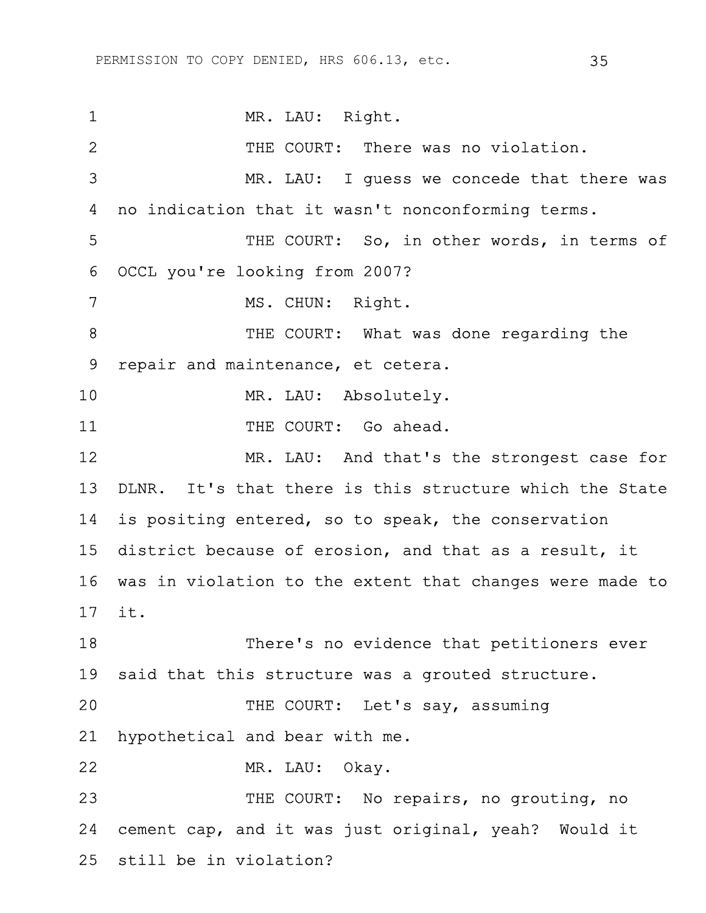1 MR. LAU: Right. 2 THE COURT: There was no violation. 3 MR. LAU: I guess we concede that there was 4 no indication that it wasn't nonconforming terms. 5 THE COURT: So, in other words, in terms of 6 OCCL you're looking from 2007? 7 MS. CHUN: Right. 8 THE COURT: What was done regarding the 9 repair and maintenance, et cetera. 10 MR. LAU: Absolutely. 11 THE COURT: Go ahead. 12 MR. LAU: And that's the strongest case for 13 DLNR. It's that there is this structure which the State 14 is positing entered, so to speak, the conservation 15 district because of erosion, and that as a result, it 16 was in violation to the extent that changes were made to 17 it. 18 There's no evidence that petitioners ever 19 said that this structure was a grouted structure. 20 THE COURT: Let's say, assuming 21 hypothetical and bear with me. 22 MR. LAU: Okay. 23 THE COURT: No repairs, no grouting, no 24 cement cap, and it was just original, yeah? Would it 25 still be in violation?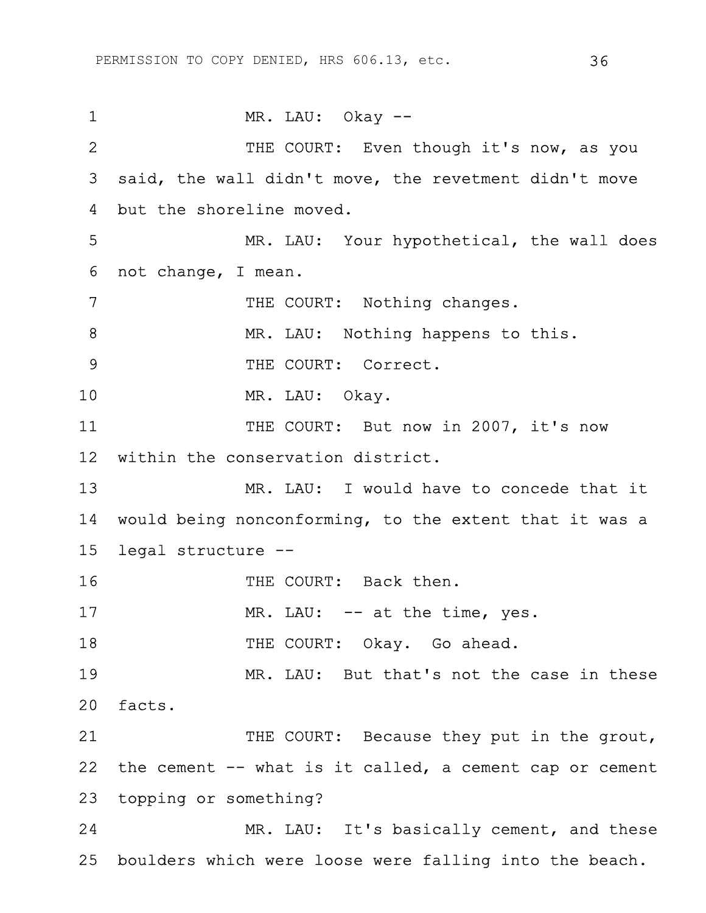1 MR. LAU: Okay --2 THE COURT: Even though it's now, as you 3 said, the wall didn't move, the revetment didn't move 4 but the shoreline moved. 5 MR. LAU: Your hypothetical, the wall does 6 not change, I mean. 7 THE COURT: Nothing changes. 8 MR. LAU: Nothing happens to this. 9 THE COURT: Correct. 10 MR. LAU: Okay. 11 THE COURT: But now in 2007, it's now 12 within the conservation district. 13 MR. LAU: I would have to concede that it 14 would being nonconforming, to the extent that it was a 15 legal structure -- 16 THE COURT: Back then. 17 MR. LAU: -- at the time, yes. 18 THE COURT: Okay. Go ahead. 19 MR. LAU: But that's not the case in these 20 facts. 21 THE COURT: Because they put in the grout, 22 the cement -- what is it called, a cement cap or cement 23 topping or something? 24 MR. LAU: It's basically cement, and these 25 boulders which were loose were falling into the beach.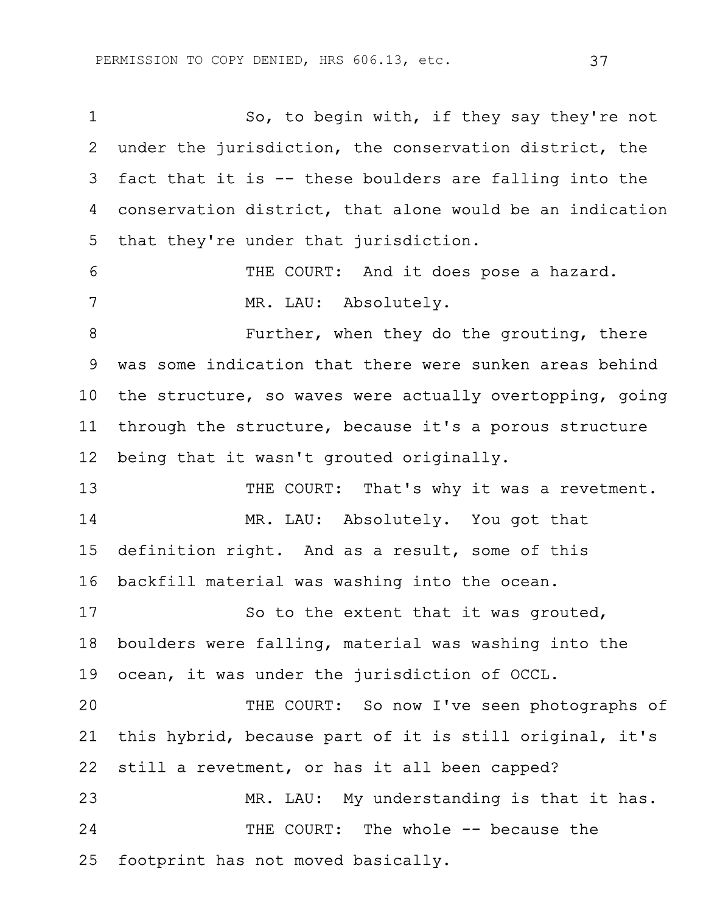| $\mathbf 1$     | So, to begin with, if they say they're not               |
|-----------------|----------------------------------------------------------|
| 2               | under the jurisdiction, the conservation district, the   |
| 3               | fact that it is -- these boulders are falling into the   |
| 4               | conservation district, that alone would be an indication |
| 5               | that they're under that jurisdiction.                    |
| 6               | THE COURT: And it does pose a hazard.                    |
| 7               | MR. LAU: Absolutely.                                     |
| 8               | Further, when they do the grouting, there                |
| 9               | was some indication that there were sunken areas behind  |
| 10 <sub>1</sub> | the structure, so waves were actually overtopping, going |
| 11              | through the structure, because it's a porous structure   |
| 12 <sup>2</sup> | being that it wasn't grouted originally.                 |
| 13              | THE COURT: That's why it was a revetment.                |
| 14              | MR. LAU: Absolutely. You got that                        |
| 15              | definition right. And as a result, some of this          |
| 16              | backfill material was washing into the ocean.            |
| 17              | So to the extent that it was grouted,                    |
| 18              | boulders were falling, material was washing into the     |
| 19              | ocean, it was under the jurisdiction of OCCL.            |
| 20              | THE COURT: So now I've seen photographs of               |
| 21              | this hybrid, because part of it is still original, it's  |
| 22              | still a revetment, or has it all been capped?            |
| 23              | MR. LAU: My understanding is that it has.                |
| 24              | THE COURT: The whole -- because the                      |
| 25              | footprint has not moved basically.                       |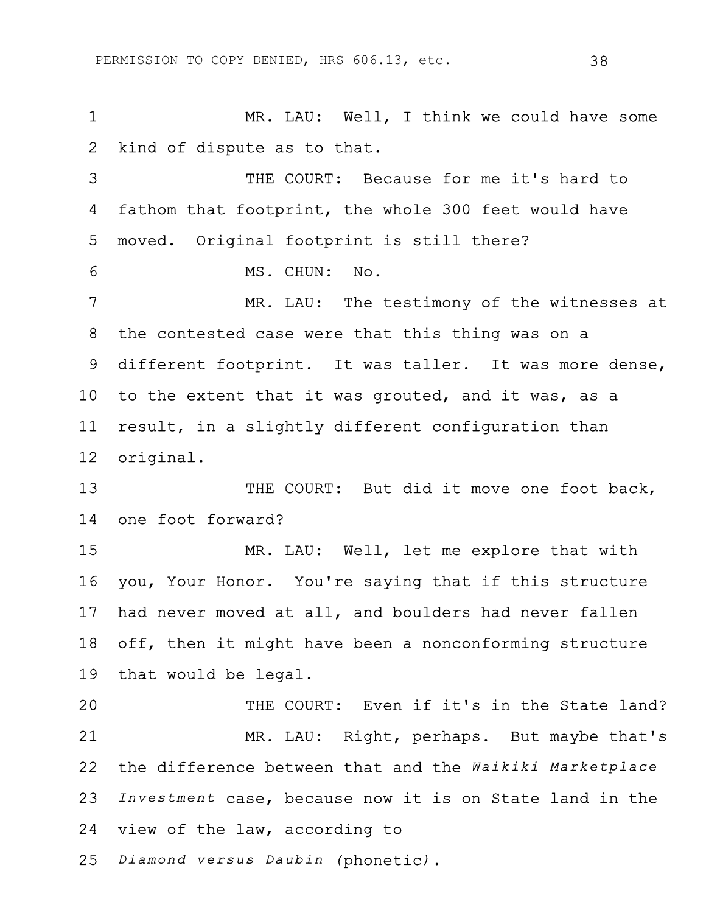1 MR. LAU: Well, I think we could have some 2 kind of dispute as to that. 3 THE COURT: Because for me it's hard to 4 fathom that footprint, the whole 300 feet would have 5 moved. Original footprint is still there? 6 MS. CHUN: No. 7 MR. LAU: The testimony of the witnesses at 8 the contested case were that this thing was on a 9 different footprint. It was taller. It was more dense, 10 to the extent that it was grouted, and it was, as a 11 result, in a slightly different configuration than 12 original. 13 THE COURT: But did it move one foot back, 14 one foot forward? 15 MR. LAU: Well, let me explore that with 16 you, Your Honor. You're saying that if this structure 17 had never moved at all, and boulders had never fallen 18 off, then it might have been a nonconforming structure 19 that would be legal. 20 THE COURT: Even if it's in the State land? 21 MR. LAU: Right, perhaps. But maybe that's 22 the difference between that and the *Waikiki Marketplace* 23 *Investment* case, because now it is on State land in the 24 view of the law, according to 25 *Diamond versus Daubin (*phonetic*)*.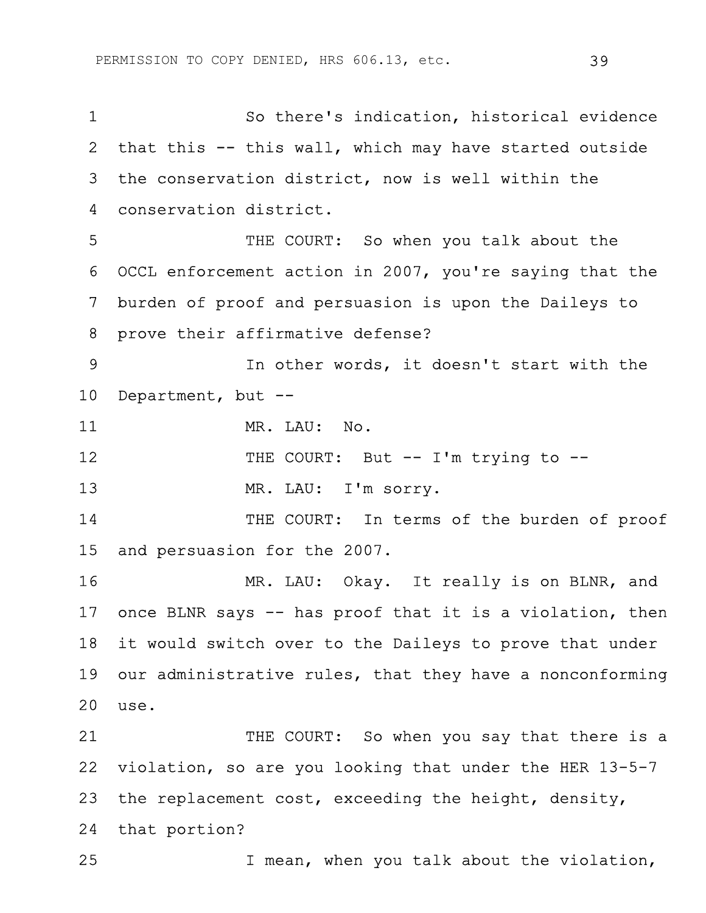1 So there's indication, historical evidence 2 that this -- this wall, which may have started outside 3 the conservation district, now is well within the 4 conservation district. 5 THE COURT: So when you talk about the 6 OCCL enforcement action in 2007, you're saying that the 7 burden of proof and persuasion is upon the Daileys to 8 prove their affirmative defense? 9 In other words, it doesn't start with the 10 Department, but -- 11 MR. LAU: No. 12 THE COURT: But -- I'm trying to --13 MR. LAU: I'm sorry. 14 THE COURT: In terms of the burden of proof 15 and persuasion for the 2007. 16 MR. LAU: Okay. It really is on BLNR, and 17 once BLNR says -- has proof that it is a violation, then 18 it would switch over to the Daileys to prove that under 19 our administrative rules, that they have a nonconforming 20 use. 21 THE COURT: So when you say that there is a 22 violation, so are you looking that under the HER 13-5-7 23 the replacement cost, exceeding the height, density, 24 that portion?

25 I mean, when you talk about the violation,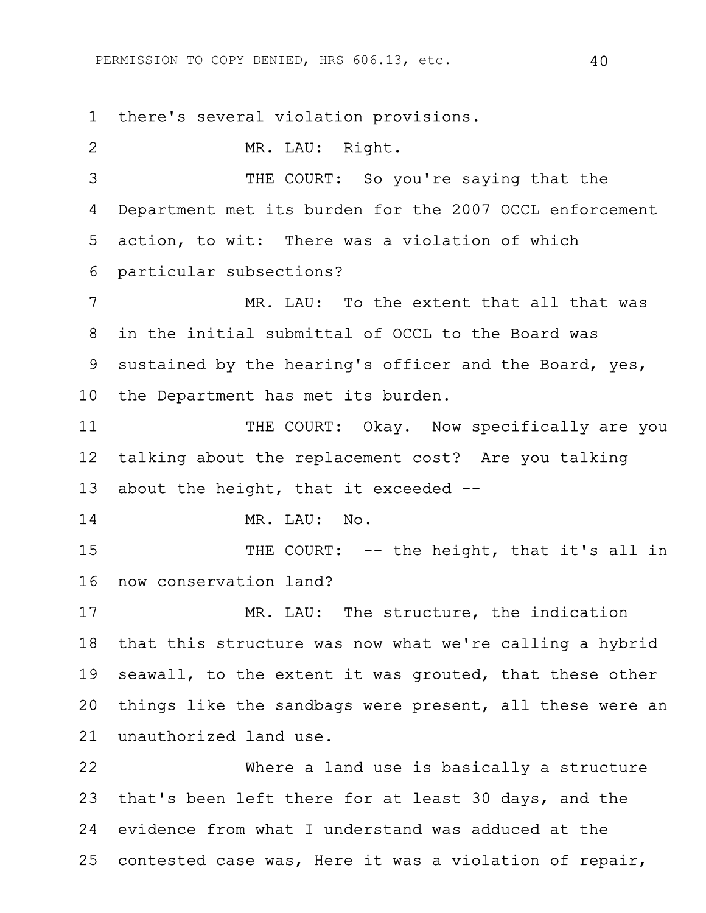1 there's several violation provisions.

2 MR. LAU: Right. 3 THE COURT: So you're saying that the 4 Department met its burden for the 2007 OCCL enforcement 5 action, to wit: There was a violation of which 6 particular subsections? 7 MR. LAU: To the extent that all that was 8 in the initial submittal of OCCL to the Board was 9 sustained by the hearing's officer and the Board, yes, 10 the Department has met its burden. 11 THE COURT: Okay. Now specifically are you 12 talking about the replacement cost? Are you talking 13 about the height, that it exceeded -- 14 MR. LAU: No. 15 THE COURT: -- the height, that it's all in 16 now conservation land? 17 MR. LAU: The structure, the indication 18 that this structure was now what we're calling a hybrid 19 seawall, to the extent it was grouted, that these other 20 things like the sandbags were present, all these were an 21 unauthorized land use. 22 Where a land use is basically a structure 23 that's been left there for at least 30 days, and the 24 evidence from what I understand was adduced at the 25 contested case was, Here it was a violation of repair,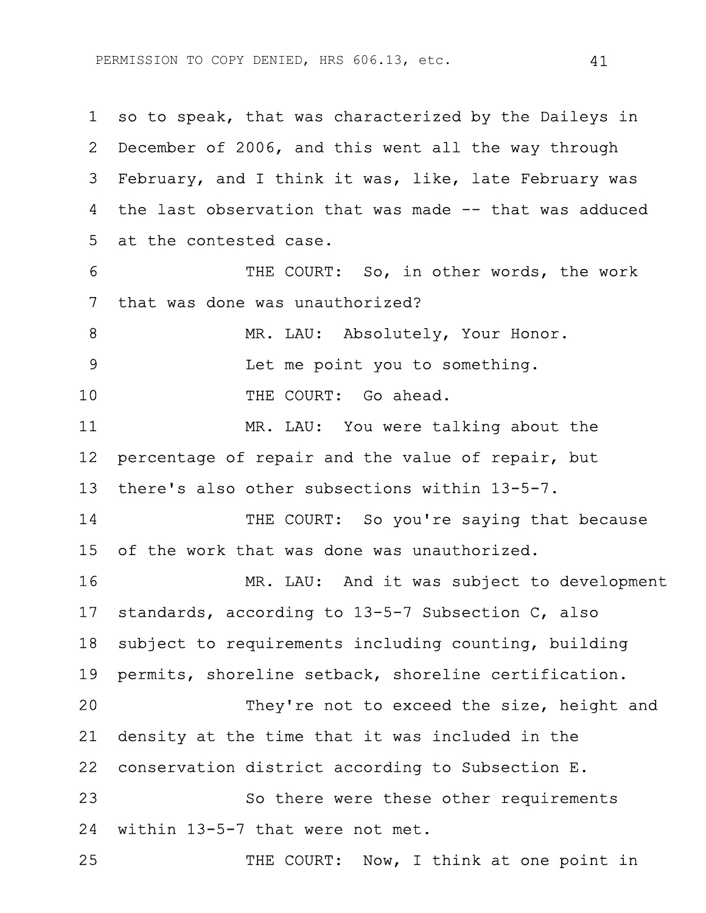1 so to speak, that was characterized by the Daileys in 2 December of 2006, and this went all the way through 3 February, and I think it was, like, late February was 4 the last observation that was made -- that was adduced 5 at the contested case. 6 THE COURT: So, in other words, the work 7 that was done was unauthorized? 8 MR. LAU: Absolutely, Your Honor. 9 Let me point you to something. 10 THE COURT: Go ahead. 11 MR. LAU: You were talking about the 12 percentage of repair and the value of repair, but 13 there's also other subsections within 13-5-7. 14 THE COURT: So you're saying that because 15 of the work that was done was unauthorized. 16 MR. LAU: And it was subject to development 17 standards, according to 13-5-7 Subsection C, also 18 subject to requirements including counting, building 19 permits, shoreline setback, shoreline certification. 20 They're not to exceed the size, height and 21 density at the time that it was included in the 22 conservation district according to Subsection E. 23 So there were these other requirements 24 within 13-5-7 that were not met. 25 THE COURT: Now, I think at one point in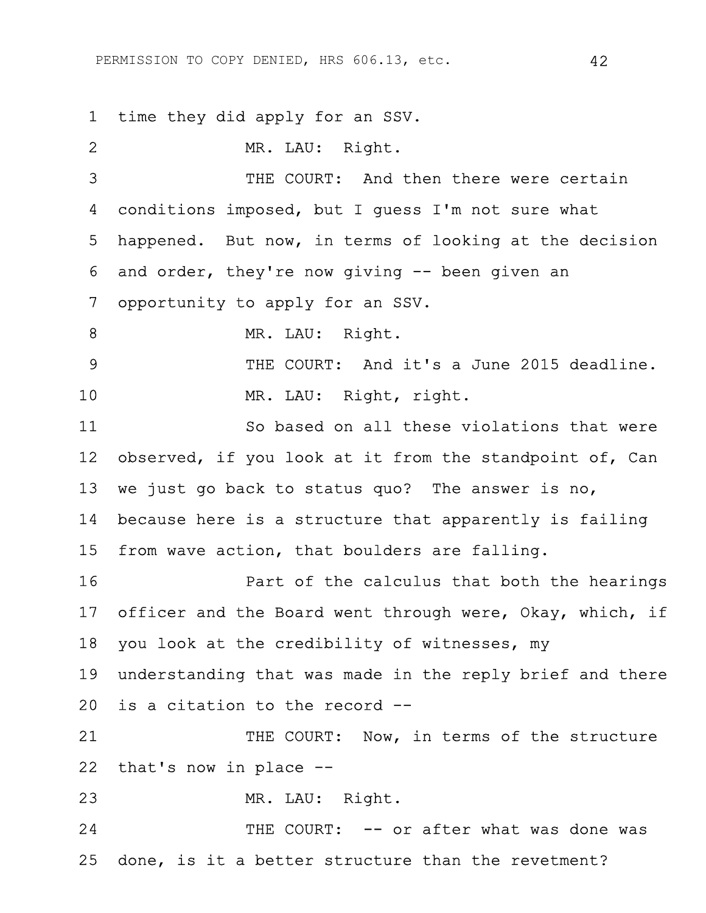1 time they did apply for an SSV.

2 MR. LAU: Right. 3 THE COURT: And then there were certain 4 conditions imposed, but I guess I'm not sure what 5 happened. But now, in terms of looking at the decision 6 and order, they're now giving -- been given an 7 opportunity to apply for an SSV. 8 MR. LAU: Right. 9 THE COURT: And it's a June 2015 deadline. 10 MR. LAU: Right, right. 11 So based on all these violations that were 12 observed, if you look at it from the standpoint of, Can 13 we just go back to status quo? The answer is no, 14 because here is a structure that apparently is failing 15 from wave action, that boulders are falling. 16 Part of the calculus that both the hearings 17 officer and the Board went through were, Okay, which, if 18 you look at the credibility of witnesses, my 19 understanding that was made in the reply brief and there 20 is a citation to the record -- 21 THE COURT: Now, in terms of the structure 22 that's now in place -- 23 MR. LAU: Right. 24 THE COURT: -- or after what was done was 25 done, is it a better structure than the revetment?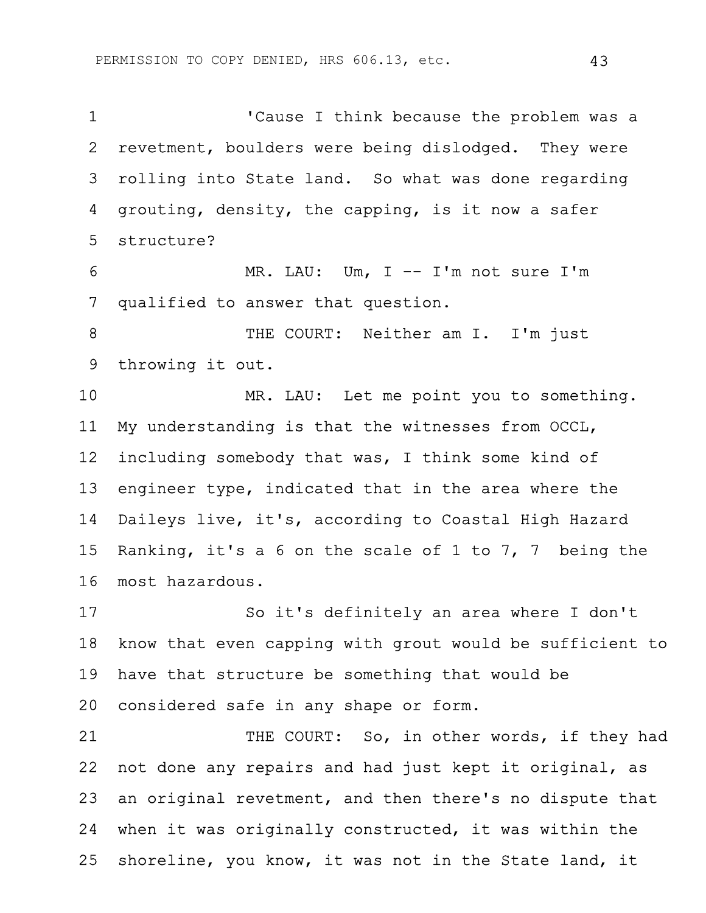1 'Cause I think because the problem was a 2 revetment, boulders were being dislodged. They were 3 rolling into State land. So what was done regarding 4 grouting, density, the capping, is it now a safer 5 structure? 6 MR. LAU: Um, I -- I'm not sure I'm 7 qualified to answer that question. 8 THE COURT: Neither am I. I'm just 9 throwing it out. 10 MR. LAU: Let me point you to something. 11 My understanding is that the witnesses from OCCL, 12 including somebody that was, I think some kind of 13 engineer type, indicated that in the area where the 14 Daileys live, it's, according to Coastal High Hazard 15 Ranking, it's a 6 on the scale of 1 to 7, 7 being the 16 most hazardous. 17 So it's definitely an area where I don't 18 know that even capping with grout would be sufficient to 19 have that structure be something that would be 20 considered safe in any shape or form. 21 THE COURT: So, in other words, if they had 22 not done any repairs and had just kept it original, as 23 an original revetment, and then there's no dispute that 24 when it was originally constructed, it was within the 25 shoreline, you know, it was not in the State land, it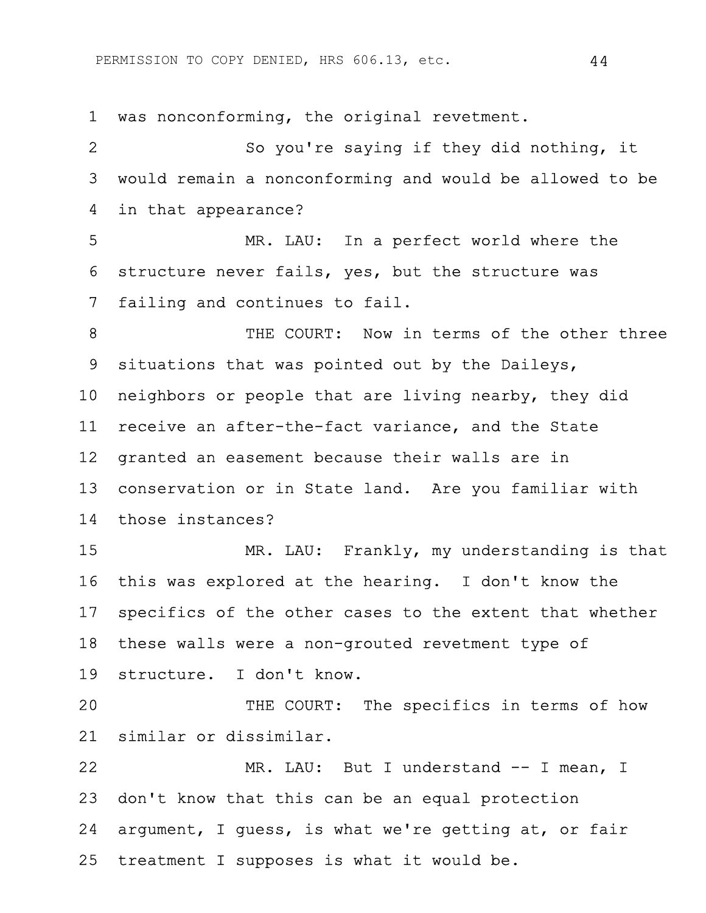PERMISSION TO COPY DENIED, HRS 606.13, etc. 44

1 was nonconforming, the original revetment. 2 So you're saying if they did nothing, it 3 would remain a nonconforming and would be allowed to be 4 in that appearance? 5 MR. LAU: In a perfect world where the 6 structure never fails, yes, but the structure was 7 failing and continues to fail. 8 THE COURT: Now in terms of the other three 9 situations that was pointed out by the Daileys, 10 neighbors or people that are living nearby, they did 11 receive an after-the-fact variance, and the State 12 granted an easement because their walls are in 13 conservation or in State land. Are you familiar with 14 those instances? 15 MR. LAU: Frankly, my understanding is that 16 this was explored at the hearing. I don't know the 17 specifics of the other cases to the extent that whether 18 these walls were a non-grouted revetment type of 19 structure. I don't know. 20 THE COURT: The specifics in terms of how 21 similar or dissimilar. 22 MR. LAU: But I understand -- I mean, I 23 don't know that this can be an equal protection 24 argument, I guess, is what we're getting at, or fair 25 treatment I supposes is what it would be.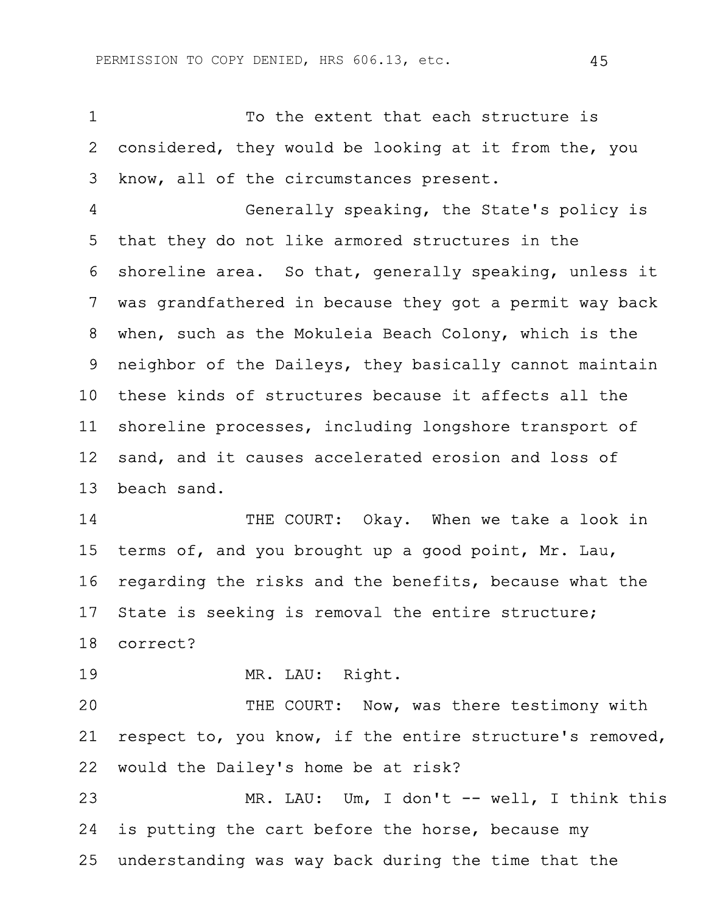1 To the extent that each structure is 2 considered, they would be looking at it from the, you 3 know, all of the circumstances present.

4 Generally speaking, the State's policy is 5 that they do not like armored structures in the 6 shoreline area. So that, generally speaking, unless it 7 was grandfathered in because they got a permit way back 8 when, such as the Mokuleia Beach Colony, which is the 9 neighbor of the Daileys, they basically cannot maintain 10 these kinds of structures because it affects all the 11 shoreline processes, including longshore transport of 12 sand, and it causes accelerated erosion and loss of 13 beach sand.

14 THE COURT: Okay. When we take a look in 15 terms of, and you brought up a good point, Mr. Lau, 16 regarding the risks and the benefits, because what the 17 State is seeking is removal the entire structure; 18 correct?

19 MR. LAU: Right.

20 THE COURT: Now, was there testimony with 21 respect to, you know, if the entire structure's removed, 22 would the Dailey's home be at risk?

23 MR. LAU: Um, I don't -- well, I think this 24 is putting the cart before the horse, because my 25 understanding was way back during the time that the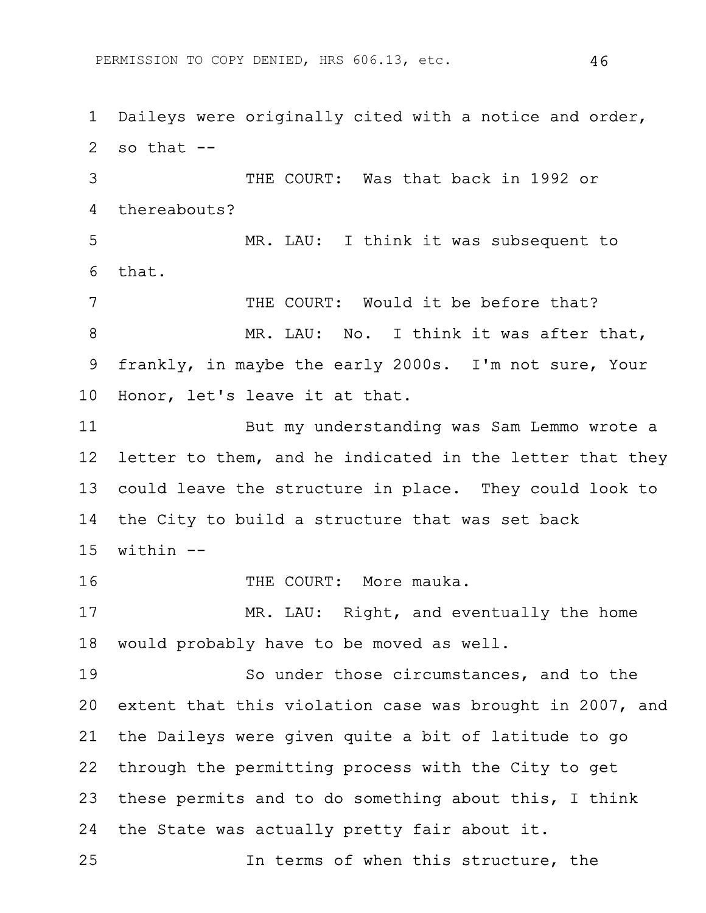1 Daileys were originally cited with a notice and order, 2 so that  $-$ 3 THE COURT: Was that back in 1992 or 4 thereabouts? 5 MR. LAU: I think it was subsequent to 6 that. 7 THE COURT: Would it be before that? 8 MR. LAU: No. I think it was after that, 9 frankly, in maybe the early 2000s. I'm not sure, Your 10 Honor, let's leave it at that. 11 But my understanding was Sam Lemmo wrote a 12 letter to them, and he indicated in the letter that they 13 could leave the structure in place. They could look to 14 the City to build a structure that was set back  $15$  within  $-$ 16 THE COURT: More mauka. 17 MR. LAU: Right, and eventually the home 18 would probably have to be moved as well. 19 So under those circumstances, and to the 20 extent that this violation case was brought in 2007, and 21 the Daileys were given quite a bit of latitude to go 22 through the permitting process with the City to get 23 these permits and to do something about this, I think 24 the State was actually pretty fair about it. 25 In terms of when this structure, the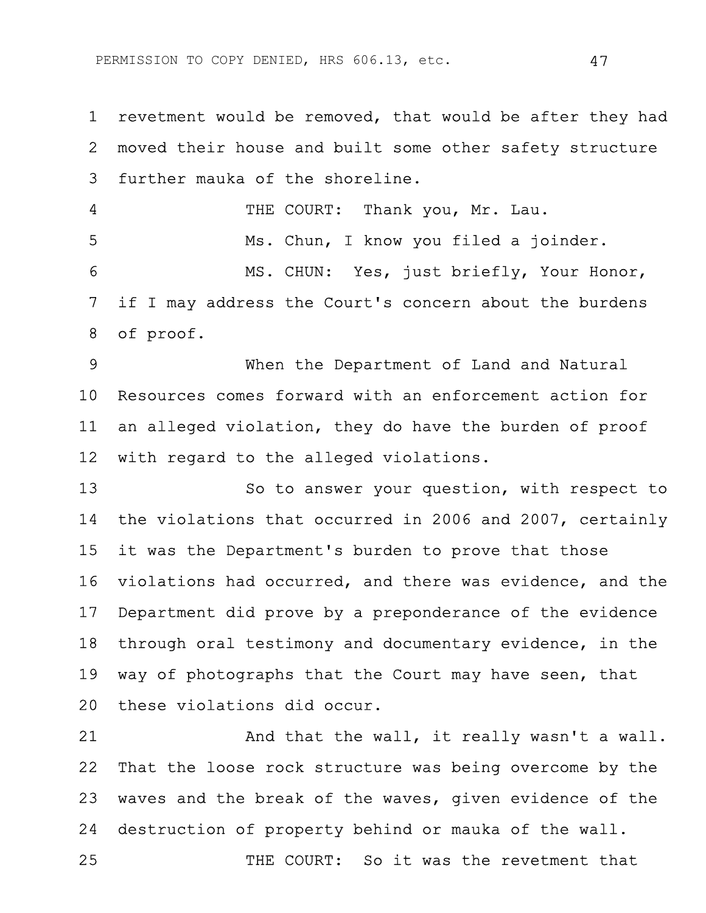1 revetment would be removed, that would be after they had 2 moved their house and built some other safety structure 3 further mauka of the shoreline. 4 THE COURT: Thank you, Mr. Lau. 5 Ms. Chun, I know you filed a joinder. 6 MS. CHUN: Yes, just briefly, Your Honor, 7 if I may address the Court's concern about the burdens 8 of proof. 9 When the Department of Land and Natural 10 Resources comes forward with an enforcement action for 11 an alleged violation, they do have the burden of proof

12 with regard to the alleged violations.

13 So to answer your question, with respect to 14 the violations that occurred in 2006 and 2007, certainly 15 it was the Department's burden to prove that those 16 violations had occurred, and there was evidence, and the 17 Department did prove by a preponderance of the evidence 18 through oral testimony and documentary evidence, in the 19 way of photographs that the Court may have seen, that 20 these violations did occur.

21 And that the wall, it really wasn't a wall. 22 That the loose rock structure was being overcome by the 23 waves and the break of the waves, given evidence of the 24 destruction of property behind or mauka of the wall.

25 THE COURT: So it was the revetment that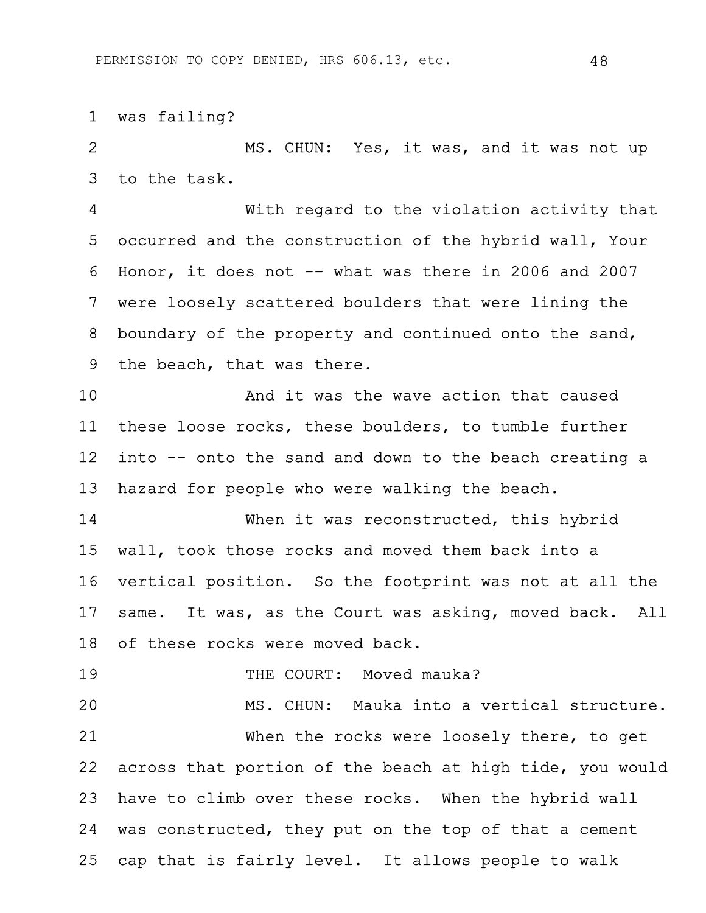1 was failing?

2 MS. CHUN: Yes, it was, and it was not up 3 to the task.

4 With regard to the violation activity that 5 occurred and the construction of the hybrid wall, Your 6 Honor, it does not -- what was there in 2006 and 2007 7 were loosely scattered boulders that were lining the 8 boundary of the property and continued onto the sand, 9 the beach, that was there.

10 And it was the wave action that caused 11 these loose rocks, these boulders, to tumble further 12 into -- onto the sand and down to the beach creating a 13 hazard for people who were walking the beach.

14 When it was reconstructed, this hybrid 15 wall, took those rocks and moved them back into a 16 vertical position. So the footprint was not at all the 17 same. It was, as the Court was asking, moved back. All 18 of these rocks were moved back.

19 THE COURT: Moved mauka?

20 MS. CHUN: Mauka into a vertical structure. 21 When the rocks were loosely there, to get 22 across that portion of the beach at high tide, you would 23 have to climb over these rocks. When the hybrid wall 24 was constructed, they put on the top of that a cement 25 cap that is fairly level. It allows people to walk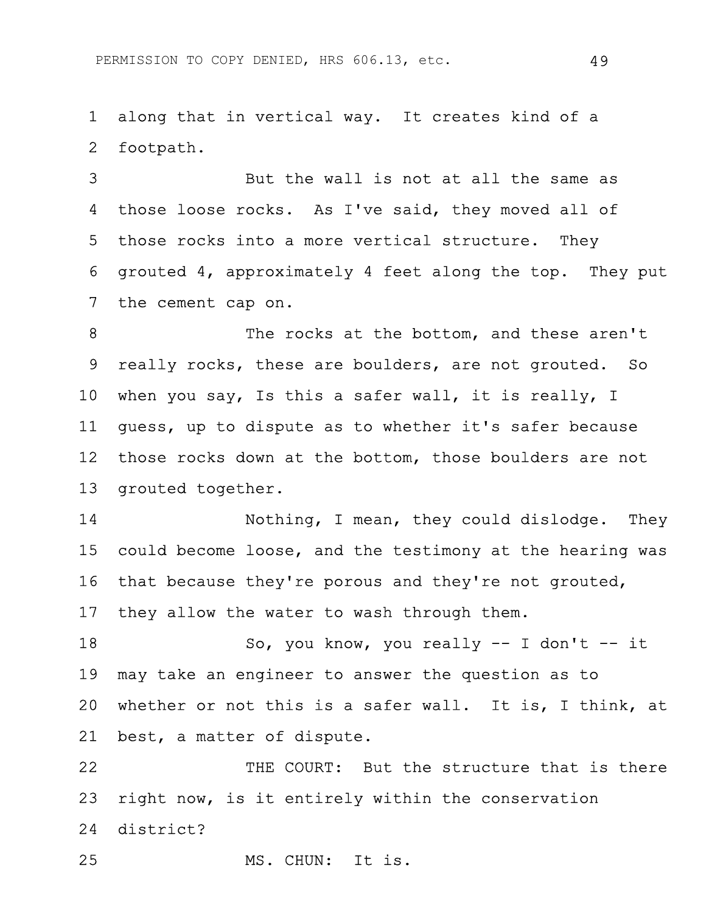1 along that in vertical way. It creates kind of a 2 footpath.

3 But the wall is not at all the same as 4 those loose rocks. As I've said, they moved all of 5 those rocks into a more vertical structure. They 6 grouted 4, approximately 4 feet along the top. They put 7 the cement cap on.

8 The rocks at the bottom, and these aren't 9 really rocks, these are boulders, are not grouted. So 10 when you say, Is this a safer wall, it is really, I 11 guess, up to dispute as to whether it's safer because 12 those rocks down at the bottom, those boulders are not 13 grouted together.

14 Nothing, I mean, they could dislodge. They 15 could become loose, and the testimony at the hearing was 16 that because they're porous and they're not grouted, 17 they allow the water to wash through them.

18 So, you know, you really -- I don't -- it 19 may take an engineer to answer the question as to 20 whether or not this is a safer wall. It is, I think, at 21 best, a matter of dispute.

22 THE COURT: But the structure that is there 23 right now, is it entirely within the conservation 24 district?

25 MS. CHUN: It is.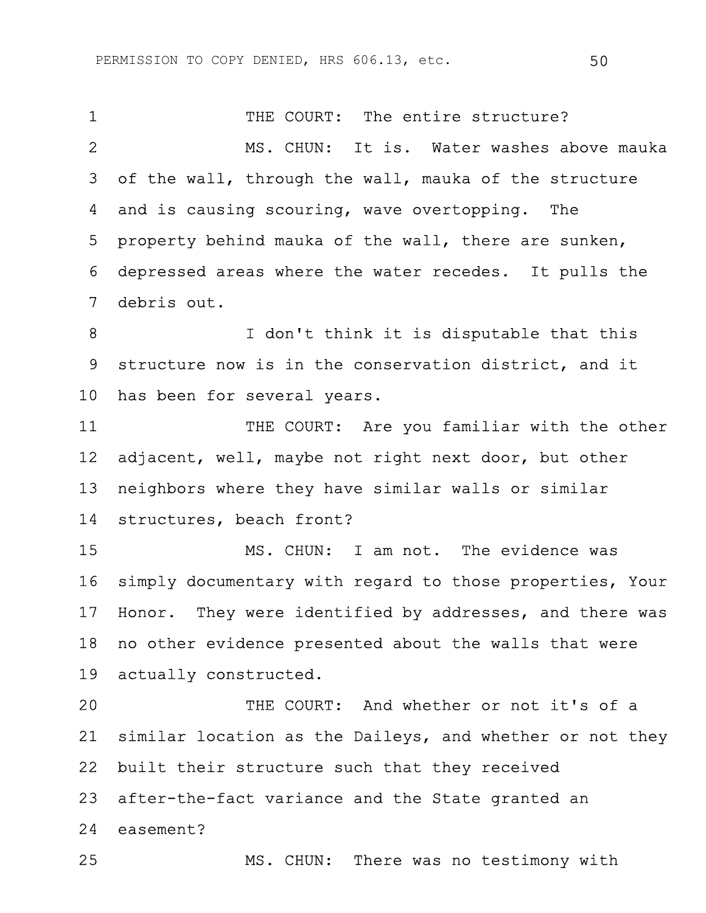1 THE COURT: The entire structure? 2 MS. CHUN: It is. Water washes above mauka 3 of the wall, through the wall, mauka of the structure 4 and is causing scouring, wave overtopping. The 5 property behind mauka of the wall, there are sunken, 6 depressed areas where the water recedes. It pulls the 7 debris out. 8 I don't think it is disputable that this 9 structure now is in the conservation district, and it 10 has been for several years. 11 THE COURT: Are you familiar with the other 12 adjacent, well, maybe not right next door, but other 13 neighbors where they have similar walls or similar 14 structures, beach front? 15 MS. CHUN: I am not. The evidence was

16 simply documentary with regard to those properties, Your 17 Honor. They were identified by addresses, and there was 18 no other evidence presented about the walls that were 19 actually constructed.

20 THE COURT: And whether or not it's of a 21 similar location as the Daileys, and whether or not they 22 built their structure such that they received 23 after-the-fact variance and the State granted an 24 easement?

25 MS. CHUN: There was no testimony with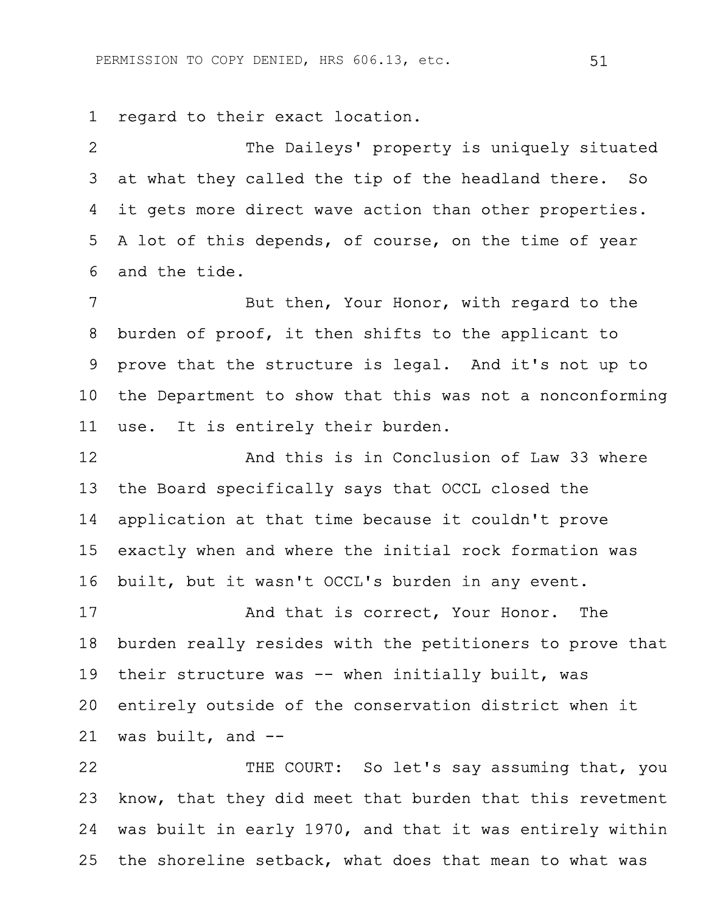1 regard to their exact location.

2 The Daileys' property is uniquely situated 3 at what they called the tip of the headland there. So 4 it gets more direct wave action than other properties. 5 A lot of this depends, of course, on the time of year 6 and the tide.

7 But then, Your Honor, with regard to the 8 burden of proof, it then shifts to the applicant to 9 prove that the structure is legal. And it's not up to 10 the Department to show that this was not a nonconforming 11 use. It is entirely their burden.

12 And this is in Conclusion of Law 33 where 13 the Board specifically says that OCCL closed the 14 application at that time because it couldn't prove 15 exactly when and where the initial rock formation was 16 built, but it wasn't OCCL's burden in any event.

17 And that is correct, Your Honor. The 18 burden really resides with the petitioners to prove that 19 their structure was -- when initially built, was 20 entirely outside of the conservation district when it 21 was built, and --

22 THE COURT: So let's say assuming that, you 23 know, that they did meet that burden that this revetment 24 was built in early 1970, and that it was entirely within 25 the shoreline setback, what does that mean to what was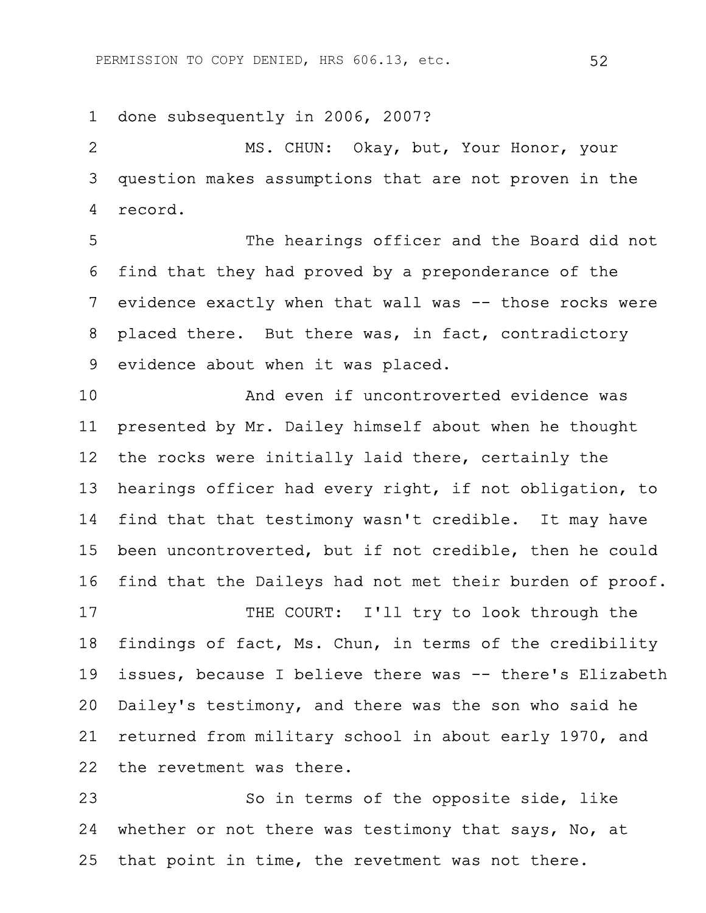1 done subsequently in 2006, 2007?

2 MS. CHUN: Okay, but, Your Honor, your 3 question makes assumptions that are not proven in the 4 record.

5 The hearings officer and the Board did not 6 find that they had proved by a preponderance of the 7 evidence exactly when that wall was -- those rocks were 8 placed there. But there was, in fact, contradictory 9 evidence about when it was placed.

10 And even if uncontroverted evidence was 11 presented by Mr. Dailey himself about when he thought 12 the rocks were initially laid there, certainly the 13 hearings officer had every right, if not obligation, to 14 find that that testimony wasn't credible. It may have 15 been uncontroverted, but if not credible, then he could 16 find that the Daileys had not met their burden of proof. 17 THE COURT: I'll try to look through the

18 findings of fact, Ms. Chun, in terms of the credibility 19 issues, because I believe there was -- there's Elizabeth 20 Dailey's testimony, and there was the son who said he 21 returned from military school in about early 1970, and 22 the revetment was there.

23 So in terms of the opposite side, like 24 whether or not there was testimony that says, No, at 25 that point in time, the revetment was not there.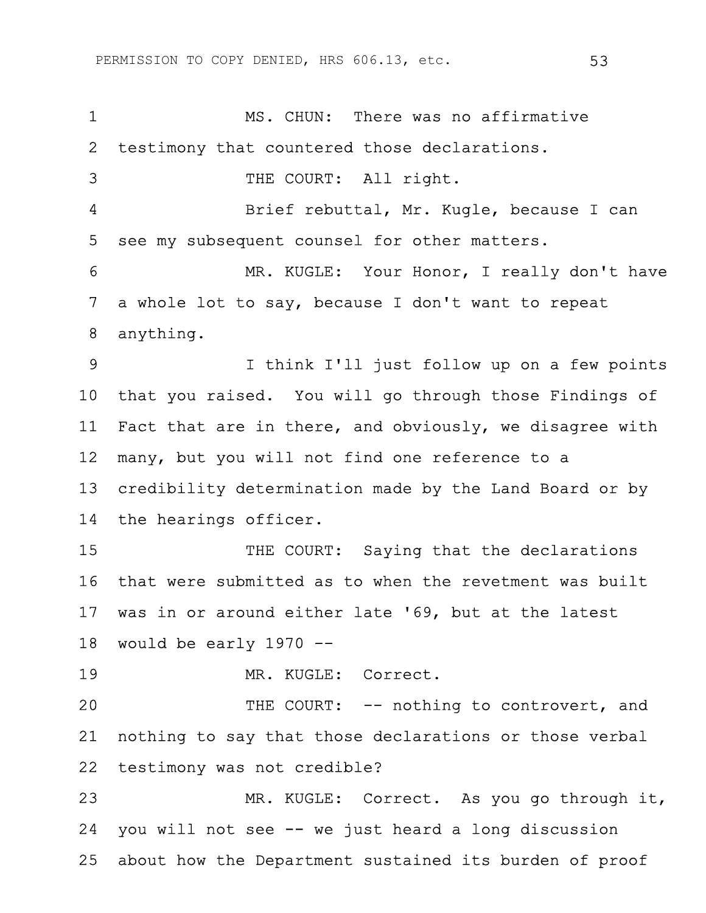1 MS. CHUN: There was no affirmative 2 testimony that countered those declarations. 3 THE COURT: All right. 4 Brief rebuttal, Mr. Kugle, because I can 5 see my subsequent counsel for other matters. 6 MR. KUGLE: Your Honor, I really don't have 7 a whole lot to say, because I don't want to repeat 8 anything. 9 I think I'll just follow up on a few points 10 that you raised. You will go through those Findings of 11 Fact that are in there, and obviously, we disagree with 12 many, but you will not find one reference to a 13 credibility determination made by the Land Board or by 14 the hearings officer. 15 THE COURT: Saying that the declarations 16 that were submitted as to when the revetment was built 17 was in or around either late '69, but at the latest 18 would be early 1970 -- 19 MR. KUGLE: Correct. 20 THE COURT: -- nothing to controvert, and 21 nothing to say that those declarations or those verbal 22 testimony was not credible? 23 MR. KUGLE: Correct. As you go through it, 24 you will not see -- we just heard a long discussion 25 about how the Department sustained its burden of proof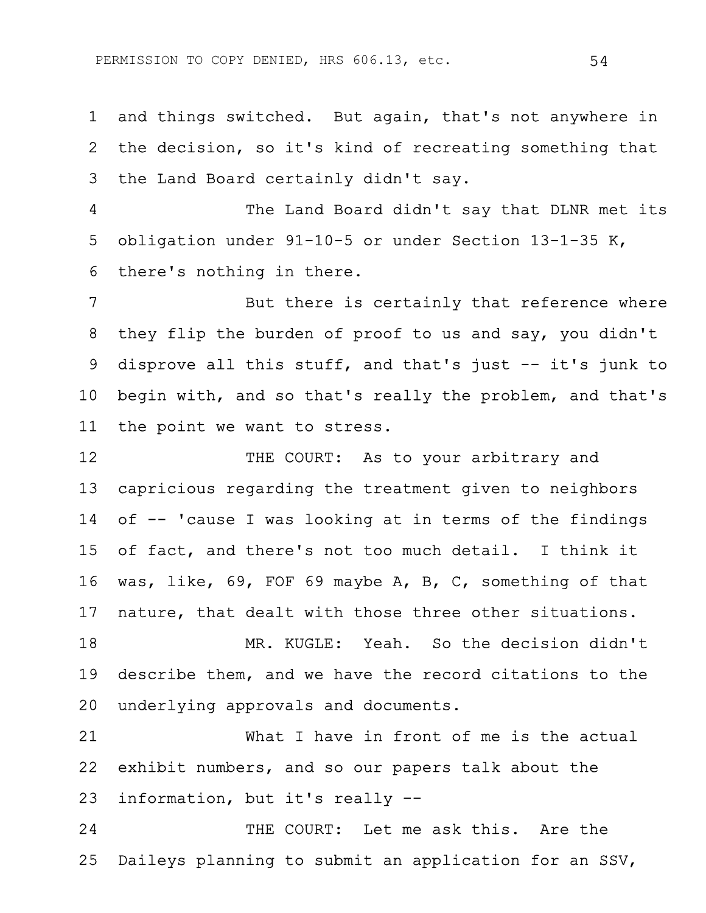1 and things switched. But again, that's not anywhere in 2 the decision, so it's kind of recreating something that 3 the Land Board certainly didn't say.

4 The Land Board didn't say that DLNR met its 5 obligation under 91-10-5 or under Section 13-1-35 K, 6 there's nothing in there.

7 But there is certainly that reference where 8 they flip the burden of proof to us and say, you didn't 9 disprove all this stuff, and that's just -- it's junk to 10 begin with, and so that's really the problem, and that's 11 the point we want to stress.

12 THE COURT: As to your arbitrary and 13 capricious regarding the treatment given to neighbors 14 of -- 'cause I was looking at in terms of the findings 15 of fact, and there's not too much detail. I think it 16 was, like, 69, FOF 69 maybe A, B, C, something of that 17 nature, that dealt with those three other situations.

18 MR. KUGLE: Yeah. So the decision didn't 19 describe them, and we have the record citations to the 20 underlying approvals and documents.

21 What I have in front of me is the actual 22 exhibit numbers, and so our papers talk about the 23 information, but it's really --

24 THE COURT: Let me ask this. Are the 25 Daileys planning to submit an application for an SSV,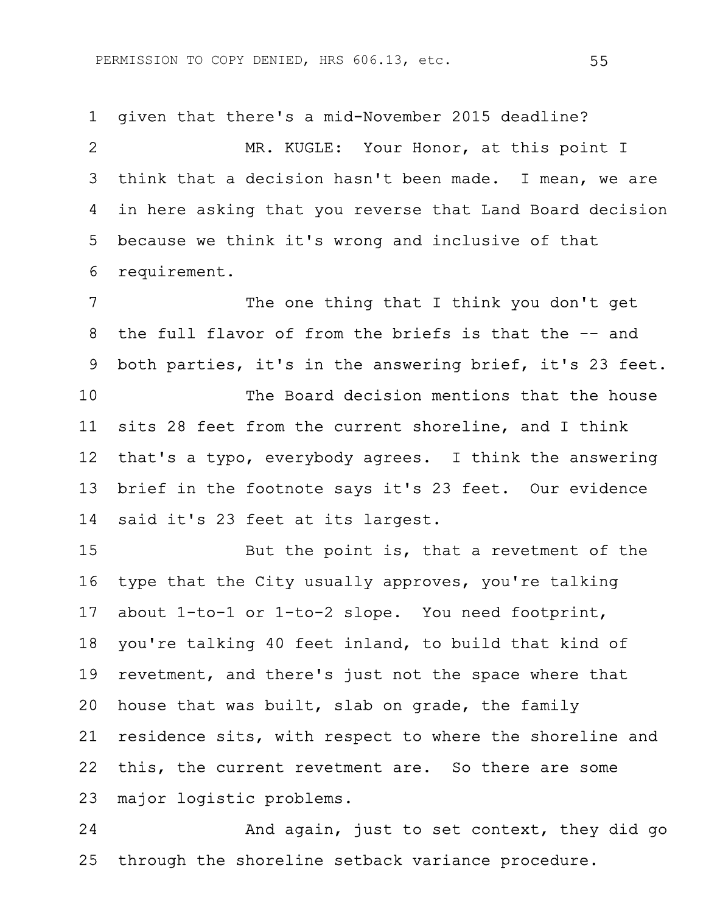1 given that there's a mid-November 2015 deadline?

2 MR. KUGLE: Your Honor, at this point I 3 think that a decision hasn't been made. I mean, we are 4 in here asking that you reverse that Land Board decision 5 because we think it's wrong and inclusive of that 6 requirement.

7 The one thing that I think you don't get 8 the full flavor of from the briefs is that the -- and 9 both parties, it's in the answering brief, it's 23 feet. 10 The Board decision mentions that the house 11 sits 28 feet from the current shoreline, and I think 12 that's a typo, everybody agrees. I think the answering 13 brief in the footnote says it's 23 feet. Our evidence 14 said it's 23 feet at its largest.

15 But the point is, that a revetment of the 16 type that the City usually approves, you're talking 17 about 1-to-1 or 1-to-2 slope. You need footprint, 18 you're talking 40 feet inland, to build that kind of 19 revetment, and there's just not the space where that 20 house that was built, slab on grade, the family 21 residence sits, with respect to where the shoreline and 22 this, the current revetment are. So there are some 23 major logistic problems.

24 And again, just to set context, they did go 25 through the shoreline setback variance procedure.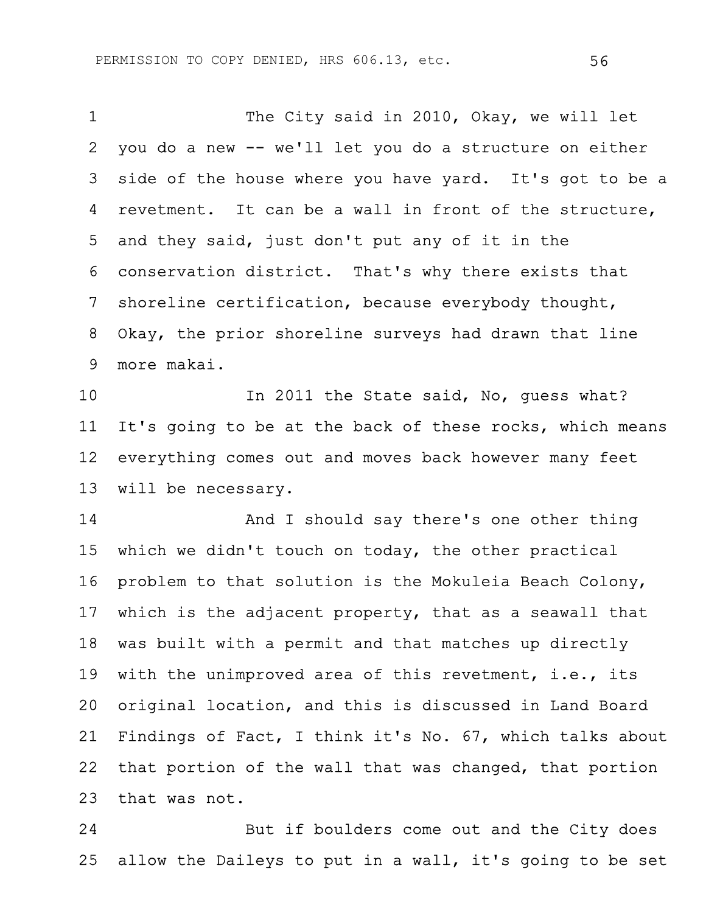1 The City said in 2010, Okay, we will let 2 you do a new -- we'll let you do a structure on either 3 side of the house where you have yard. It's got to be a 4 revetment. It can be a wall in front of the structure, 5 and they said, just don't put any of it in the 6 conservation district. That's why there exists that 7 shoreline certification, because everybody thought, 8 Okay, the prior shoreline surveys had drawn that line 9 more makai.

10 In 2011 the State said, No, guess what? 11 It's going to be at the back of these rocks, which means 12 everything comes out and moves back however many feet 13 will be necessary.

14 **And I** should say there's one other thing 15 which we didn't touch on today, the other practical 16 problem to that solution is the Mokuleia Beach Colony, 17 which is the adjacent property, that as a seawall that 18 was built with a permit and that matches up directly 19 with the unimproved area of this revetment, i.e., its 20 original location, and this is discussed in Land Board 21 Findings of Fact, I think it's No. 67, which talks about 22 that portion of the wall that was changed, that portion 23 that was not.

24 But if boulders come out and the City does 25 allow the Daileys to put in a wall, it's going to be set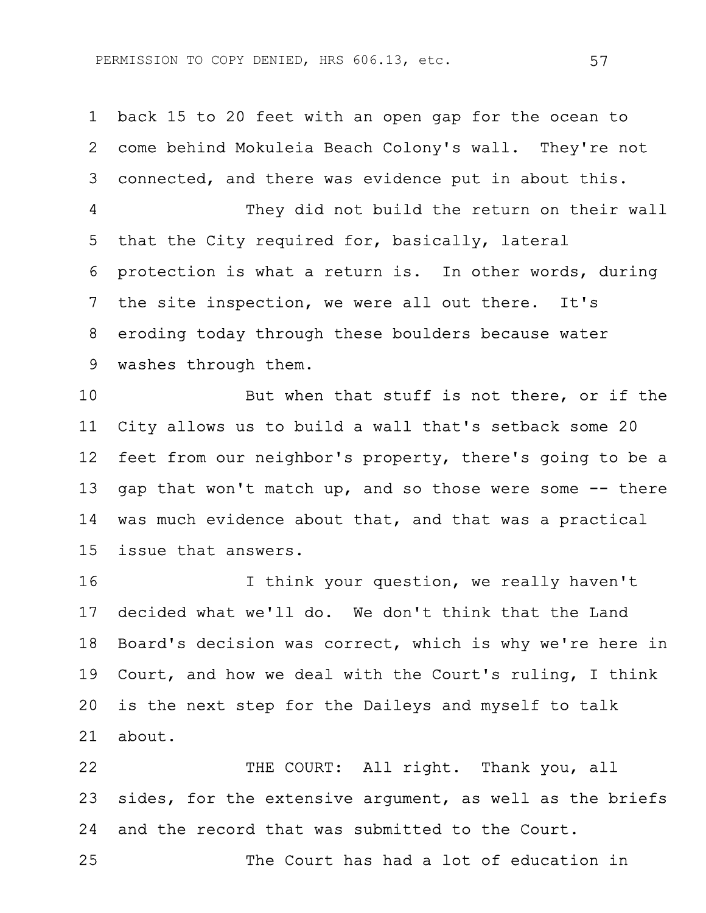1 back 15 to 20 feet with an open gap for the ocean to 2 come behind Mokuleia Beach Colony's wall. They're not 3 connected, and there was evidence put in about this. 4 They did not build the return on their wall 5 that the City required for, basically, lateral 6 protection is what a return is. In other words, during 7 the site inspection, we were all out there. It's 8 eroding today through these boulders because water 9 washes through them.

10 But when that stuff is not there, or if the 11 City allows us to build a wall that's setback some 20 12 feet from our neighbor's property, there's going to be a 13 gap that won't match up, and so those were some -- there 14 was much evidence about that, and that was a practical 15 issue that answers.

16 16 I think your question, we really haven't 17 decided what we'll do. We don't think that the Land 18 Board's decision was correct, which is why we're here in 19 Court, and how we deal with the Court's ruling, I think 20 is the next step for the Daileys and myself to talk 21 about.

22 THE COURT: All right. Thank you, all 23 sides, for the extensive argument, as well as the briefs 24 and the record that was submitted to the Court. 25 The Court has had a lot of education in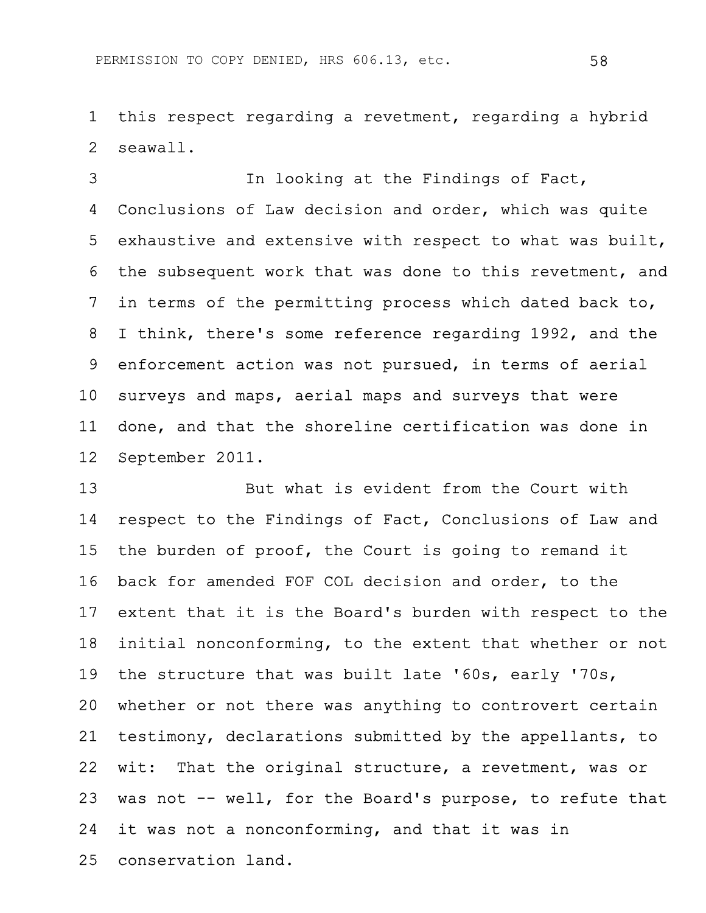1 this respect regarding a revetment, regarding a hybrid 2 seawall.

3 In looking at the Findings of Fact, 4 Conclusions of Law decision and order, which was quite 5 exhaustive and extensive with respect to what was built, 6 the subsequent work that was done to this revetment, and 7 in terms of the permitting process which dated back to, 8 I think, there's some reference regarding 1992, and the 9 enforcement action was not pursued, in terms of aerial 10 surveys and maps, aerial maps and surveys that were 11 done, and that the shoreline certification was done in 12 September 2011.

13 But what is evident from the Court with 14 respect to the Findings of Fact, Conclusions of Law and 15 the burden of proof, the Court is going to remand it 16 back for amended FOF COL decision and order, to the 17 extent that it is the Board's burden with respect to the 18 initial nonconforming, to the extent that whether or not 19 the structure that was built late '60s, early '70s, 20 whether or not there was anything to controvert certain 21 testimony, declarations submitted by the appellants, to 22 wit: That the original structure, a revetment, was or 23 was not -- well, for the Board's purpose, to refute that 24 it was not a nonconforming, and that it was in 25 conservation land.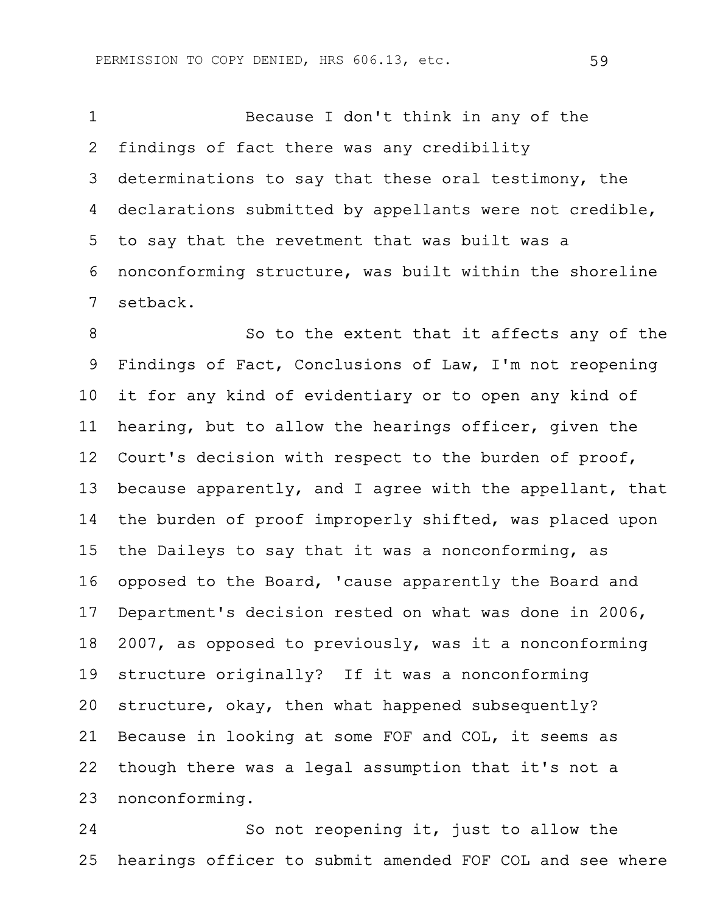1 Because I don't think in any of the 2 findings of fact there was any credibility 3 determinations to say that these oral testimony, the 4 declarations submitted by appellants were not credible, 5 to say that the revetment that was built was a 6 nonconforming structure, was built within the shoreline 7 setback.

8 So to the extent that it affects any of the 9 Findings of Fact, Conclusions of Law, I'm not reopening 10 it for any kind of evidentiary or to open any kind of 11 hearing, but to allow the hearings officer, given the 12 Court's decision with respect to the burden of proof, 13 because apparently, and I agree with the appellant, that 14 the burden of proof improperly shifted, was placed upon 15 the Daileys to say that it was a nonconforming, as 16 opposed to the Board, 'cause apparently the Board and 17 Department's decision rested on what was done in 2006, 18 2007, as opposed to previously, was it a nonconforming 19 structure originally? If it was a nonconforming 20 structure, okay, then what happened subsequently? 21 Because in looking at some FOF and COL, it seems as 22 though there was a legal assumption that it's not a 23 nonconforming.

24 So not reopening it, just to allow the 25 hearings officer to submit amended FOF COL and see where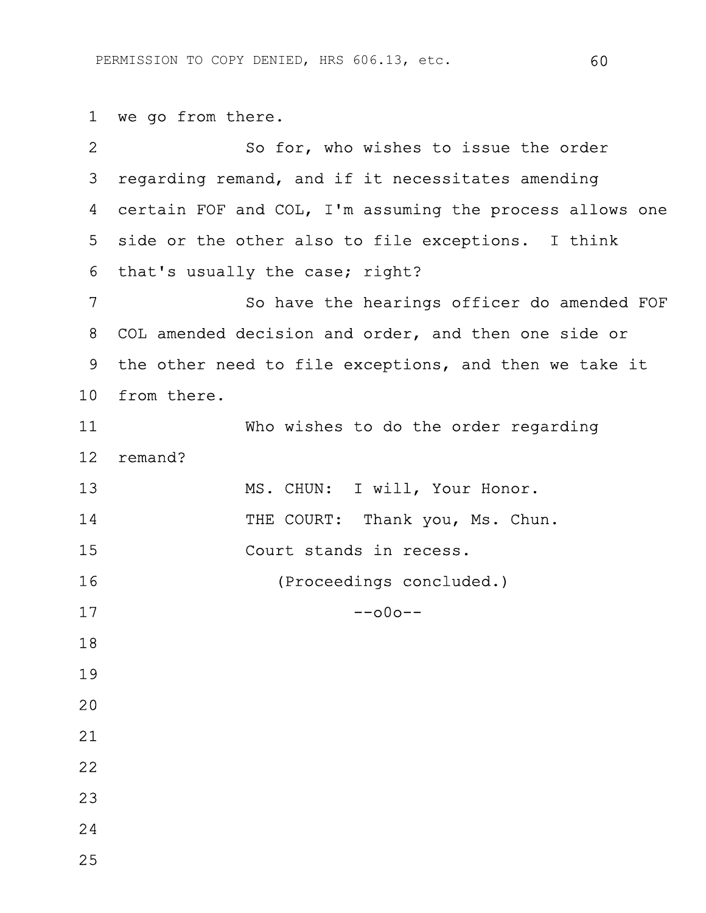1 we go from there.

| $\overline{2}$ | So for, who wishes to issue the order                    |
|----------------|----------------------------------------------------------|
| 3              | regarding remand, and if it necessitates amending        |
| 4              | certain FOF and COL, I'm assuming the process allows one |
| 5              | side or the other also to file exceptions. I think       |
| 6              | that's usually the case; right?                          |
| 7              | So have the hearings officer do amended FOF              |
| 8              | COL amended decision and order, and then one side or     |
| 9              | the other need to file exceptions, and then we take it   |
| 10             | from there.                                              |
| 11             | Who wishes to do the order regarding                     |
| 12             | remand?                                                  |
| 13             | MS. CHUN: I will, Your Honor.                            |
| 14             | THE COURT: Thank you, Ms. Chun.                          |
| 15             | Court stands in recess.                                  |
| 16             | (Proceedings concluded.)                                 |
| 17             | $-000-$                                                  |
| 18             |                                                          |
| 19             |                                                          |
| 20             |                                                          |
| 21             |                                                          |
| 22             |                                                          |
| 23             |                                                          |
| 24             |                                                          |
| 25             |                                                          |